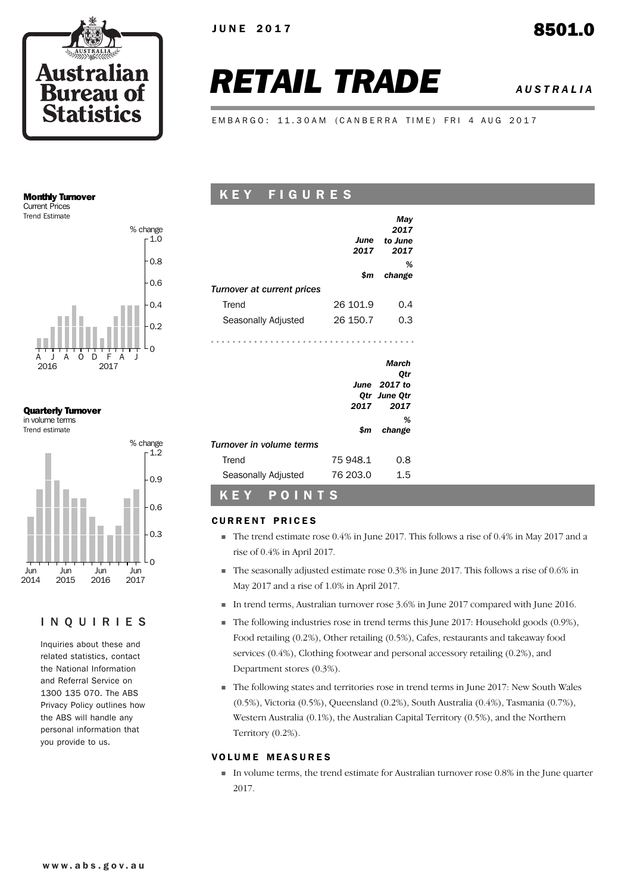

JUNE 2017 8501.0

# *RETAIL TRADE AUSTRALIA*

EMBARGO: 11.30AM (CANBERRA TIME) FRI 4 AUG 2017

#### Monthly Turnover Current Prices

Trend Estimate



#### Quarterly Turnover in volume terms

Trend estimate



### INQUIRIES

Inquiries about these and related statistics, contact the National Information and Referral Service on 1300 135 070. The ABS Privacy Policy outlines how the ABS will handle any personal information that you provide to us.

# K E Y F I G U R E S

|                            | June<br>2017 | May<br>2017<br>to June<br>2017                       |
|----------------------------|--------------|------------------------------------------------------|
|                            | \$m          | %<br>change                                          |
| Turnover at current prices |              |                                                      |
| Trend                      | 26 101.9     | 0.4                                                  |
| Seasonally Adjusted        | 26 150.7     | 0.3                                                  |
|                            |              |                                                      |
|                            | 2017         | March<br>Otr<br>June 2017 to<br>Qtr June Qtr<br>2017 |
|                            | \$m          | %<br>change                                          |
| Turnover in volume terms   |              |                                                      |
| Trend                      | 75 948.1     | 0.8                                                  |

### CURRENT PRICES

K E Y P O I N T S

- ! The trend estimate rose 0.4% in June 2017. This follows a rise of 0.4% in May 2017 and a rise of 0.4% in April 2017.
- $\blacksquare$  The seasonally adjusted estimate rose 0.3% in June 2017. This follows a rise of 0.6% in May 2017 and a rise of 1.0% in April 2017.
- ! In trend terms, Australian turnover rose 3.6% in June 2017 compared with June 2016.
- $\blacksquare$  The following industries rose in trend terms this June 2017: Household goods (0.9%), Food retailing (0.2%), Other retailing (0.5%), Cafes, restaurants and takeaway food services (0.4%), Clothing footwear and personal accessory retailing (0.2%), and Department stores (0.3%).
- ! The following states and territories rose in trend terms in June 2017: New South Wales (0.5%), Victoria (0.5%), Queensland (0.2%), South Australia (0.4%), Tasmania (0.7%), Western Australia (0.1%), the Australian Capital Territory (0.5%), and the Northern Territory (0.2%).

#### **VOLUME MEASURES**

! In volume terms, the trend estimate for Australian turnover rose 0.8% in the June quarter 2017.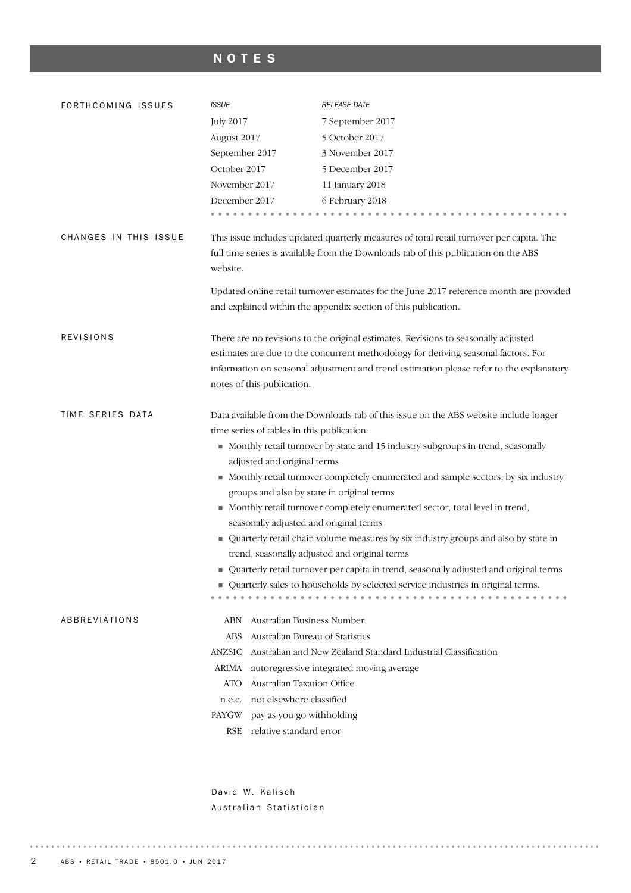# NOTES

| FORTHCOMING ISSUES    | <b>ISSUE</b>                                                         | <b>RELEASE DATE</b>                                                                     |
|-----------------------|----------------------------------------------------------------------|-----------------------------------------------------------------------------------------|
|                       | <b>July 2017</b>                                                     | 7 September 2017                                                                        |
|                       | August 2017                                                          | 5 October 2017                                                                          |
|                       | September 2017                                                       | 3 November 2017                                                                         |
|                       | October 2017                                                         | 5 December 2017                                                                         |
|                       | November 2017                                                        | 11 January 2018                                                                         |
|                       | December 2017                                                        | 6 February 2018                                                                         |
|                       |                                                                      |                                                                                         |
| CHANGES IN THIS ISSUE |                                                                      | This issue includes updated quarterly measures of total retail turnover per capita. The |
|                       |                                                                      | full time series is available from the Downloads tab of this publication on the ABS     |
|                       | website.                                                             |                                                                                         |
|                       |                                                                      |                                                                                         |
|                       |                                                                      | Updated online retail turnover estimates for the June 2017 reference month are provided |
|                       |                                                                      | and explained within the appendix section of this publication.                          |
| <b>REVISIONS</b>      |                                                                      | There are no revisions to the original estimates. Revisions to seasonally adjusted      |
|                       |                                                                      | estimates are due to the concurrent methodology for deriving seasonal factors. For      |
|                       |                                                                      | information on seasonal adjustment and trend estimation please refer to the explanatory |
|                       | notes of this publication.                                           |                                                                                         |
|                       |                                                                      |                                                                                         |
| TIME SERIES DATA      |                                                                      | Data available from the Downloads tab of this issue on the ABS website include longer   |
|                       | time series of tables in this publication:                           |                                                                                         |
|                       |                                                                      | • Monthly retail turnover by state and 15 industry subgroups in trend, seasonally       |
|                       | adjusted and original terms                                          |                                                                                         |
|                       |                                                                      | • Monthly retail turnover completely enumerated and sample sectors, by six industry     |
|                       | groups and also by state in original terms                           |                                                                                         |
|                       |                                                                      | Monthly retail turnover completely enumerated sector, total level in trend,             |
|                       | seasonally adjusted and original terms                               |                                                                                         |
|                       |                                                                      | • Quarterly retail chain volume measures by six industry groups and also by state in    |
|                       |                                                                      | trend, seasonally adjusted and original terms                                           |
|                       |                                                                      | • Quarterly retail turnover per capita in trend, seasonally adjusted and original terms |
|                       |                                                                      | ■ Quarterly sales to households by selected service industries in original terms.       |
|                       |                                                                      |                                                                                         |
| ABBREVIATIONS         | Australian Business Number<br>ABN<br>Australian Bureau of Statistics |                                                                                         |
|                       | ABS<br>ANZSIC                                                        | Australian and New Zealand Standard Industrial Classification                           |
|                       | ARIMA                                                                |                                                                                         |
|                       | Australian Taxation Office<br><b>ATO</b>                             | autoregressive integrated moving average                                                |
|                       | not elsewhere classified<br>n.e.c.                                   |                                                                                         |
|                       | pay-as-you-go withholding<br>PAYGW                                   |                                                                                         |
|                       | relative standard error<br>RSE                                       |                                                                                         |
|                       |                                                                      |                                                                                         |
|                       |                                                                      |                                                                                         |

David W. Kalisch Australian Statistician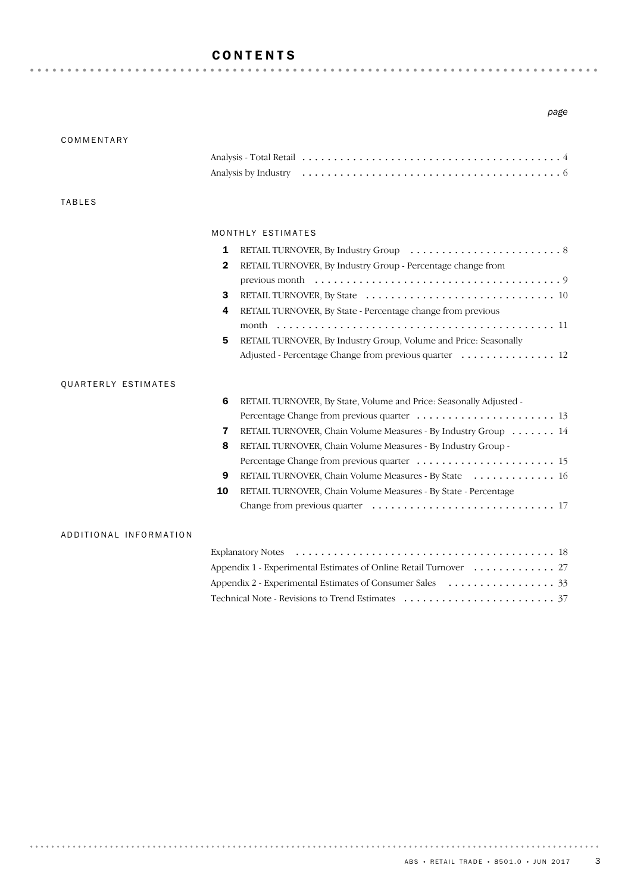# CONTENTS

#### *page*

| COMMENTARY             |                                                                         |
|------------------------|-------------------------------------------------------------------------|
|                        |                                                                         |
|                        |                                                                         |
|                        |                                                                         |
| <b>TABLES</b>          |                                                                         |
|                        |                                                                         |
|                        | MONTHLY ESTIMATES                                                       |
|                        | 1                                                                       |
|                        | RETAIL TURNOVER, By Industry Group - Percentage change from<br>2        |
|                        |                                                                         |
|                        | 3                                                                       |
|                        | RETAIL TURNOVER, By State - Percentage change from previous<br>4        |
|                        |                                                                         |
|                        | RETAIL TURNOVER, By Industry Group, Volume and Price: Seasonally<br>5   |
|                        | Adjusted - Percentage Change from previous quarter  12                  |
|                        |                                                                         |
| QUARTERLY ESTIMATES    |                                                                         |
|                        | RETAIL TURNOVER, By State, Volume and Price: Seasonally Adjusted -<br>6 |
|                        |                                                                         |
|                        | RETAIL TURNOVER, Chain Volume Measures - By Industry Group 14<br>7      |
|                        | RETAIL TURNOVER, Chain Volume Measures - By Industry Group -<br>8       |
|                        |                                                                         |
|                        | RETAIL TURNOVER, Chain Volume Measures - By State 16<br>9               |
|                        | RETAIL TURNOVER, Chain Volume Measures - By State - Percentage<br>10    |
|                        |                                                                         |
|                        |                                                                         |
| ADDITIONAL INFORMATION |                                                                         |
|                        |                                                                         |
|                        | Appendix 1 - Experimental Estimates of Online Retail Turnover 27        |
|                        |                                                                         |

Technical Note - Revisions to Trend Estimates ........................ 37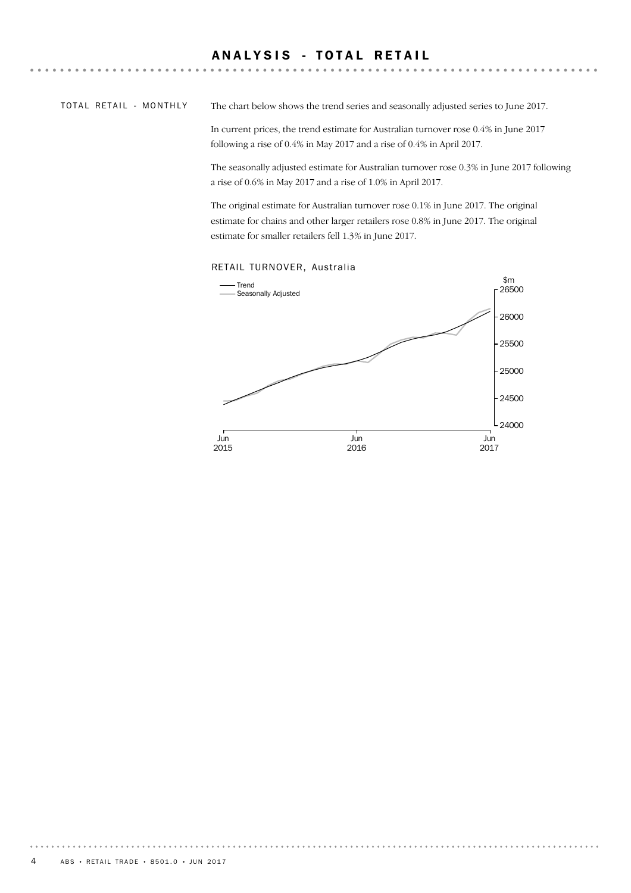# ANALYSIS - TOTAL RETAIL

TOTAL RETAIL - MONTHLY

The chart below shows the trend series and seasonally adjusted series to June 2017.

In current prices, the trend estimate for Australian turnover rose 0.4% in June 2017 following a rise of 0.4% in May 2017 and a rise of 0.4% in April 2017.

The seasonally adjusted estimate for Australian turnover rose 0.3% in June 2017 following a rise of 0.6% in May 2017 and a rise of 1.0% in April 2017.

The original estimate for Australian turnover rose 0.1% in June 2017. The original estimate for chains and other larger retailers rose 0.8% in June 2017. The original estimate for smaller retailers fell 1.3% in June 2017.

#### RETAIL TURNOVER, Australia

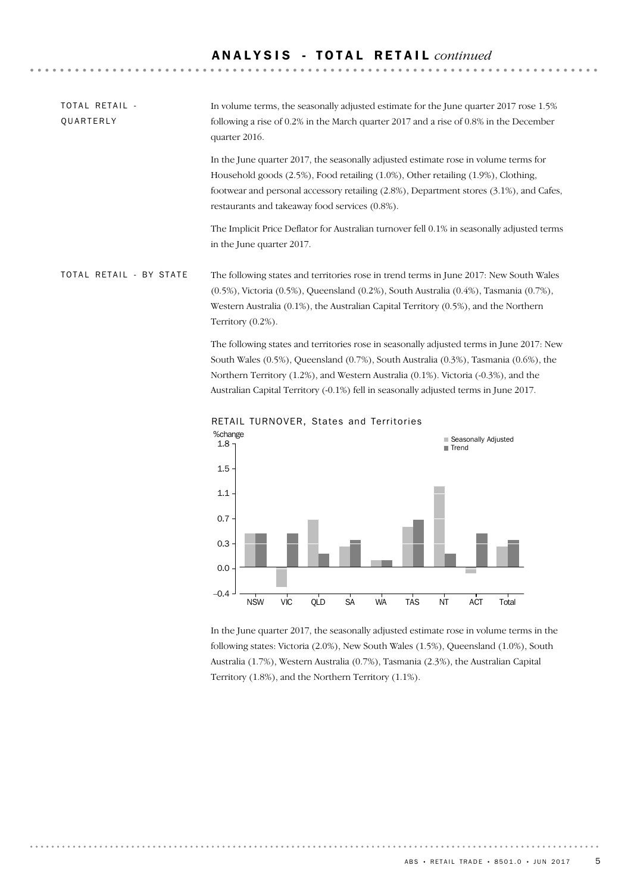| TOTAL RETAIL -<br>QUARTERLY | In volume terms, the seasonally adjusted estimate for the June quarter 2017 rose 1.5%<br>following a rise of 0.2% in the March quarter 2017 and a rise of 0.8% in the December<br>quarter 2016.                                                                                                                       |
|-----------------------------|-----------------------------------------------------------------------------------------------------------------------------------------------------------------------------------------------------------------------------------------------------------------------------------------------------------------------|
|                             | In the June quarter 2017, the seasonally adjusted estimate rose in volume terms for<br>Household goods (2.5%), Food retailing (1.0%), Other retailing (1.9%), Clothing,<br>footwear and personal accessory retailing (2.8%), Department stores (3.1%), and Cafes,<br>restaurants and takeaway food services (0.8%).   |
|                             | The Implicit Price Deflator for Australian turnover fell 0.1% in seasonally adjusted terms<br>in the June quarter 2017.                                                                                                                                                                                               |
| TOTAL RETAIL - BY STATE     | The following states and territories rose in trend terms in June 2017: New South Wales<br>$(0.5%)$ , Victoria $(0.5%)$ , Queensland $(0.2%)$ , South Australia $(0.4%)$ , Tasmania $(0.7%)$ ,<br>Western Australia $(0.1\%)$ , the Australian Capital Territory $(0.5\%)$ , and the Northern<br>Territory $(0.2\%)$ . |
|                             | The following states and territories rose in seasonally adjusted terms in June 2017: New<br>South Wales $(0.5\%)$ , Queensland $(0.7\%)$ , South Australia $(0.3\%)$ , Tasmania $(0.6\%)$ , the<br>Northern Territory (1.2%), and Western Australia (0.1%). Victoria (-0.3%), and the                                 |



Australian Capital Territory (-0.1%) fell in seasonally adjusted terms in June 2017.

RETAIL TURNOVER, States and Territories

In the June quarter 2017, the seasonally adjusted estimate rose in volume terms in the following states: Victoria (2.0%), New South Wales (1.5%), Queensland (1.0%), South Australia (1.7%), Western Australia (0.7%), Tasmania (2.3%), the Australian Capital Territory (1.8%), and the Northern Territory (1.1%).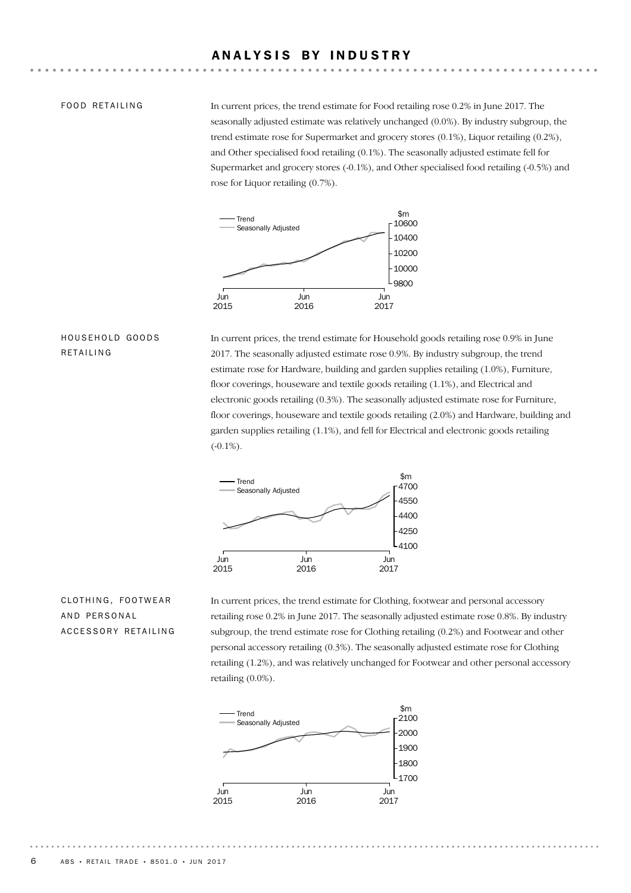#### ANALYSIS BY INDUSTRY

#### FOOD RETAILING

In current prices, the trend estimate for Food retailing rose 0.2% in June 2017. The seasonally adjusted estimate was relatively unchanged (0.0%). By industry subgroup, the trend estimate rose for Supermarket and grocery stores (0.1%), Liquor retailing (0.2%), and Other specialised food retailing (0.1%). The seasonally adjusted estimate fell for Supermarket and grocery stores (-0.1%), and Other specialised food retailing (-0.5%) and rose for Liquor retailing (0.7%).



#### HOUSEHOLD GOODS RETAILING

In current prices, the trend estimate for Household goods retailing rose 0.9% in June 2017. The seasonally adjusted estimate rose 0.9%. By industry subgroup, the trend estimate rose for Hardware, building and garden supplies retailing (1.0%), Furniture, floor coverings, houseware and textile goods retailing (1.1%), and Electrical and electronic goods retailing (0.3%). The seasonally adjusted estimate rose for Furniture, floor coverings, houseware and textile goods retailing (2.0%) and Hardware, building and garden supplies retailing (1.1%), and fell for Electrical and electronic goods retailing  $(-0.1\%)$ .



# CLOTHING, FOOTWEAR AND PERSONAL ACCESSORY RETAILING

In current prices, the trend estimate for Clothing, footwear and personal accessory retailing rose 0.2% in June 2017. The seasonally adjusted estimate rose 0.8%. By industry subgroup, the trend estimate rose for Clothing retailing (0.2%) and Footwear and other personal accessory retailing (0.3%). The seasonally adjusted estimate rose for Clothing retailing (1.2%), and was relatively unchanged for Footwear and other personal accessory retailing (0.0%).

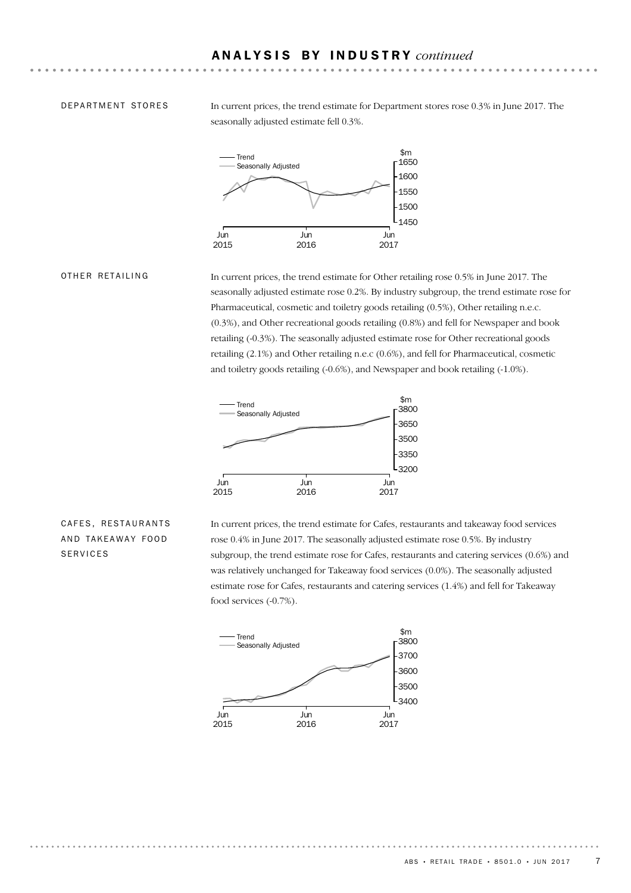#### DEPARTMENT STORES

In current prices, the trend estimate for Department stores rose 0.3% in June 2017. The seasonally adjusted estimate fell 0.3%.



#### OTHER RETAILING

In current prices, the trend estimate for Other retailing rose 0.5% in June 2017. The seasonally adjusted estimate rose 0.2%. By industry subgroup, the trend estimate rose for Pharmaceutical, cosmetic and toiletry goods retailing (0.5%), Other retailing n.e.c. (0.3%), and Other recreational goods retailing (0.8%) and fell for Newspaper and book retailing (-0.3%). The seasonally adjusted estimate rose for Other recreational goods retailing (2.1%) and Other retailing n.e.c (0.6%), and fell for Pharmaceutical, cosmetic and toiletry goods retailing (-0.6%), and Newspaper and book retailing (-1.0%).



#### CAFES, RESTAURANTS AND TAKEAWAY FOOD SERVICES

In current prices, the trend estimate for Cafes, restaurants and takeaway food services rose 0.4% in June 2017. The seasonally adjusted estimate rose 0.5%. By industry subgroup, the trend estimate rose for Cafes, restaurants and catering services (0.6%) and was relatively unchanged for Takeaway food services (0.0%). The seasonally adjusted estimate rose for Cafes, restaurants and catering services (1.4%) and fell for Takeaway food services (-0.7%).

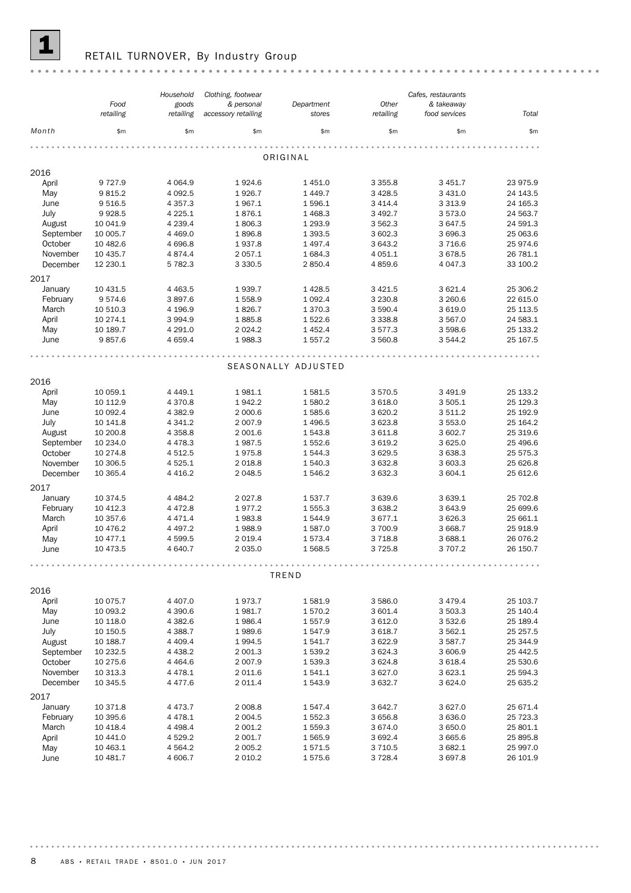

# **1** RETAIL TURNOVER, By Industry Group

|           |           | Household   | Clothing, footwear  |                     |             | Cafes, restaurants |          |
|-----------|-----------|-------------|---------------------|---------------------|-------------|--------------------|----------|
|           | Food      | goods       | & personal          | Department          | Other       | & takeaway         |          |
|           | retailing | retailing   | accessory retailing | stores              | retailing   | food services      | Total    |
|           |           |             |                     |                     |             |                    |          |
| Month     | \$m\$     | \$m\$       | \$m\$               | \$m\$               | \$m\$       | \$m\$              | \$m\$    |
|           |           |             |                     |                     |             |                    |          |
|           |           |             |                     | ORIGINAL            |             |                    |          |
|           |           |             |                     |                     |             |                    |          |
| 2016      |           |             |                     |                     |             |                    |          |
| April     | 9727.9    | 4 0 64.9    | 1924.6              | 1 4 5 1.0           | 3 3 5 5.8   | 3 4 5 1.7          | 23 975.9 |
| May       | 9815.2    | 4 0 9 2.5   | 1926.7              | 1 4 4 9.7           | 3 4 28.5    | 3 4 3 1.0          | 24 143.5 |
| June      | 9516.5    | 4 3 5 7 . 3 | 1967.1              | 1596.1              | 3 4 1 4.4   | 3 3 1 3 . 9        | 24 165.3 |
| July      | 9928.5    | 4 2 2 5.1   | 1876.1              | 1 4 68.3            | 3 4 9 2.7   | 3573.0             | 24 563.7 |
| August    | 10 041.9  | 4 2 3 9.4   | 1806.3              | 1 2 9 3.9           | 3 5 6 2.3   | 3 647.5            | 24 591.3 |
| September | 10 005.7  | 4 4 6 9.0   | 1896.8              | 1 3 9 3.5           | 3 602.3     | 3 696.3            | 25 063.6 |
| October   | 10 482.6  | 4 696.8     | 1937.8              | 1 4 9 7 . 4         | 3 643.2     | 3716.6             | 25 974.6 |
| November  | 10 435.7  | 4 874.4     | 2 0 5 7.1           | 1684.3              | 4 0 5 1.1   | 3678.5             | 26 781.1 |
| December  | 12 230.1  | 5 782.3     | 3 3 3 0.5           | 2850.4              | 4859.6      | 4 0 4 7 .3         | 33 100.2 |
| 2017      |           |             |                     |                     |             |                    |          |
| January   | 10 431.5  | 4 4 6 3.5   | 1939.7              | 1 4 28.5            | 3 4 2 1.5   | 3 621.4            | 25 306.2 |
| February  | 9574.6    | 3897.6      | 1558.9              | 1 0 9 2.4           | 3 2 3 0.8   | 3 2 6 0.6          | 22 615.0 |
| March     | 10 510.3  | 4 196.9     | 1826.7              | 1 370.3             | 3 590.4     | 3 6 1 9.0          | 25 113.5 |
| April     | 10 274.1  | 3 9 9 4.9   | 1885.8              | 1522.6              | 3 3 3 8 . 8 | 3 567.0            | 24 583.1 |
| May       | 10 189.7  | 4 2 9 1.0   | 2 0 2 4 . 2         | 1 4 5 2.4           | 3577.3      | 3 5 9 8.6          | 25 133.2 |
| June      | 9857.6    | 4 6 5 9.4   | 1988.3              | 1 557.2             | 3 560.8     | 3 544.2            | 25 167.5 |
|           |           |             |                     |                     |             |                    |          |
|           |           |             |                     |                     |             |                    |          |
|           |           |             |                     | SEASONALLY ADJUSTED |             |                    |          |
| 2016      |           |             |                     |                     |             |                    |          |
| April     | 10 059.1  | 4 4 4 9.1   | 1981.1              | 1581.5              | 3570.5      | 3 4 9 1.9          | 25 133.2 |
| May       | 10 112.9  | 4 3 7 0.8   | 1942.2              | 1580.2              | 3 618.0     | 3 505.1            | 25 129.3 |
| June      | 10 092.4  | 4 3 8 2.9   | 2 000.6             | 1585.6              | 3 6 20.2    | 3 511.2            | 25 192.9 |
| July      | 10 141.8  | 4 3 4 1.2   | 2 0 0 7.9           | 1 4 9 6.5           | 3 623.8     | 3 553.0            | 25 164.2 |
| August    | 10 200.8  | 4 3 5 8.8   | 2 001.6             | 1543.8              | 3 611.8     | 3 602.7            | 25 319.6 |
| September | 10 234.0  | 4 4 7 8.3   | 1987.5              | 1552.6              |             |                    | 25 496.6 |
| October   |           |             |                     |                     | 3 6 19.2    | 3 6 25.0           |          |
|           | 10 274.8  | 4 5 1 2.5   | 1975.8              | 1544.3              | 3 6 29.5    | 3 638.3            | 25 575.3 |
| November  | 10 306.5  | 4 5 2 5 . 1 | 2 0 18.8            | 1540.3              | 3 632.8     | 3 603.3            | 25 626.8 |
| December  | 10 365.4  | 4 4 1 6.2   | 2 0 48.5            | 1546.2              | 3 632.3     | 3 604.1            | 25 612.6 |
| 2017      |           |             |                     |                     |             |                    |          |
| January   | 10 374.5  | 4 4 8 4.2   | 2 0 2 7 .8          | 1537.7              | 3 639.6     | 3 639.1            | 25 702.8 |
| February  | 10 412.3  | 4 4 7 2.8   | 1977.2              | 1555.3              | 3 638.2     | 3 643.9            | 25 699.6 |
| March     | 10 357.6  | 4 4 7 1 . 4 | 1983.8              | 1544.9              | 3 677.1     | 3 6 26.3           | 25 661.1 |
| April     | 10 476.2  | 4 4 9 7.2   | 1988.9              | 1587.0              | 3700.9      | 3 668.7            | 25 918.9 |
| May       | 10 477.1  | 4 599.5     | 2 0 1 9.4           | 1573.4              | 3718.8      | 3 688.1            | 26 076.2 |
| June      | 10 473.5  | 4 640.7     | 2 0 3 5.0           | 1568.5              | 3725.8      | 3 707.2            | 26 150.7 |
|           |           |             |                     |                     |             |                    |          |
|           |           |             |                     |                     |             |                    |          |
|           |           |             |                     | TREND               |             |                    |          |
| 2016      |           |             |                     |                     |             |                    |          |
| April     | 10 075.7  | 4 4 0 7.0   | 1973.7              | 1581.9              | 3 586.0     | 3 4 7 9.4          | 25 103.7 |
| May       | 10 093.2  | 4 390.6     | 1981.7              | 1570.2              | 3 601.4     | 3 503.3            | 25 140.4 |
| June      | 10 118.0  | 4 3 8 2.6   | 1986.4              | 1 557.9             | 3 612.0     | 3 532.6            | 25 189.4 |
| July      | 10 150.5  | 4 388.7     | 1989.6              | 1547.9              | 3 618.7     | 3 562.1            | 25 257.5 |
| August    | 10 188.7  | 4 4 0 9.4   | 1994.5              | 1541.7              | 3 622.9     | 3587.7             | 25 344.9 |
| September | 10 232.5  | 4 4 38.2    | 2 001.3             | 1539.2              | 3 6 2 4 . 3 | 3 606.9            | 25 442.5 |
| October   | 10 275.6  | 4 4 6 4 .6  | 2 007.9             | 1539.3              | 3 6 2 4.8   | 3 618.4            | 25 530.6 |
| November  | 10 313.3  | 4 4 7 8 . 1 | 2 0 1 1.6           | 1541.1              | 3 627.0     | 3 623.1            | 25 594.3 |
| December  | 10 345.5  | 4 477.6     | 2011.4              | 1543.9              | 3 632.7     | 3 6 2 4 .0         | 25 635.2 |
| 2017      |           |             |                     |                     |             |                    |          |
|           |           |             |                     |                     |             |                    |          |
| January   | 10 371.8  | 4 4 7 3 . 7 | 2 008.8             | 1547.4              | 3 642.7     | 3 627.0            | 25 671.4 |
| February  | 10 395.6  | 4 4 7 8 . 1 | 2 0 0 4.5           | 1552.3              | 3 656.8     | 3 636.0            | 25 723.3 |
| March     | 10 4 18.4 | 4 4 98.4    | 2 001.2             | 1559.3              | 3 674.0     | 3 650.0            | 25 801.1 |
| April     | 10 441.0  | 4 5 29.2    | 2 001.7             | 1 565.9             | 3 692.4     | 3 665.6            | 25 895.8 |
| May       | 10 463.1  | 4 5 64.2    | 2 0 0 5.2           | 1571.5              | 3 7 1 0.5   | 3 682.1            | 25 997.0 |
| June      | 10 481.7  | 4 606.7     | 2 0 1 0.2           | 1575.6              | 3728.4      | 3 697.8            | 26 101.9 |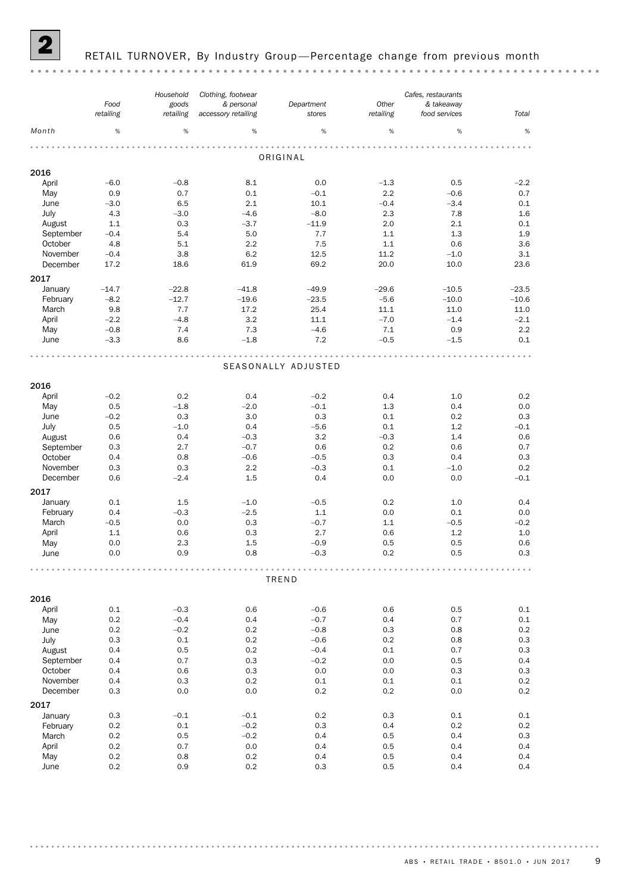

#### RETAIL TURNOVER, By Industry Group-Percentage change from previous month

#### *Cafes, restaurants Clothing, footwear Household Other Food Department & personal goods & takeaway stores retailing retailing Total accessory retailing retailing food services Month* %  $\hspace{0.4cm}$  %  $\hspace{0.4cm}$  %  $\hspace{0.4cm}$  %  $\hspace{0.4cm}$  %  $\hspace{0.4cm}$  %  $\hspace{0.4cm}$  %  $\hspace{0.4cm}$  % ORIGINAL 2016 April –6.0 –0.8 8.1 0.0 –1.3 0.5 –2.2 May 0.9 0.7 0.1 –0.1 2.2 –0.6 0.7 June –3.0 6.5 2.1 10.1 –0.4 –3.4 0.1 July 4.3 –3.0 –4.6 –8.0 2.3 7.8 1.6 August 1.1 0.3 –3.7 –11.9 2.0 2.1 0.1 September –0.4 5.4 5.0 7.7 1.1 1.3 1.9 October 4.8 5.1 2.2 7.5 1.1 0.6 3.6 November –0.4 3.8 6.2 12.5 11.2 –1.0 3.1 December 17.2 18.6 61.9 69.2 20.0 10.0 23.6 2017 January –14.7 –22.8 –41.8 –49.9 –29.6 –10.5 –23.5 February –8.2 –12.7 –19.6 –23.5 –5.6 –10.0 –10.6 March 9.8 7.7 17.2 25.4 11.1 11.0 11.0 April –2.2 –4.8 3.2 11.1 –7.0 –1.4 –2.1 May –0.8 7.4 7.3 –4.6 7.1 0.9 2.2 June –3.3 8.6 –1.8 7.2 –0.5 –1.5 0.1 SEASONALLY ADJUSTED 2016 April –0.2 0.2 0.4 –0.2 0.4 1.0 0.2 May 0.5 –1.8 –2.0 –0.1 1.3 0.4 0.0 June –0.2 0.3 3.0 0.3 0.1 0.2 0.3 July 0.5 –1.0 0.4 –5.6 0.1 1.2 –0.1 August 0.6 0.4 –0.3 3.2 –0.3 1.4 0.6 September 0.3 2.7 –0.7 0.6 0.2 0.6 0.7 October 0.4 0.8 –0.6 –0.5 0.3 0.4 0.3 November 0.3 0.3 2.2 – 0.3 0.1 – 1.0 0.2 December 0.6 –2.4 1.5 0.4 0.0 0.0 –0.1 2017 January 0.1 1.5 –1.0 –0.5 0.2 1.0 0.4 February 0.4 –0.3 –2.5 1.1 0.0 0.1 0.0 March –0.5 0.0 0.3 –0.7 1.1 –0.5 –0.2 April 1.1 0.6 0.3 2.7 0.6 1.2 1.0 May 0.0 2.3 1.5 –0.9 0.5 0.5 0.6 June 0.0 0.9 0.8 –0.3 0.2 0.5 0.3 TREND 2016 April 0.1 –0.3 0.6 –0.6 0.6 0.5 0.1 May 0.2 –0.4 0.4 –0.7 0.4 0.7 0.1 June 0.2 –0.2 0.2 –0.8 0.3 0.8 0.2 July 0.3 0.1 0.2 –0.6 0.2 0.8 0.3 August 0.4 0.5 0.2 –0.4 0.1 0.7 0.3 September 0.4 0.7 0.3 –0.2 0.0 0.5 0.4 October 0.4 0.6 0.3 0.0 0.0 0.3 0.3 November 0.4 0.3 0.2 0.1 0.1 0.1 0.2 December 0.3 0.0 0.0 0.2 0.2 0.0 0.2 2017<br>January January 0.3 –0.1 –0.1 0.2 0.3 0.1 0.1 February 0.2 0.1 –0.2 0.3 0.4 0.2 0.2 March 0.2 0.5 –0.2 0.4 0.5 0.4 0.3 April 0.2 0.7 0.0 0.4 0.5 0.4 0.4 May 0.2 0.8 0.2 0.4 0.5 0.4 0.4 June 0.2 0.9 0.2 0.3 0.5 0.4 0.4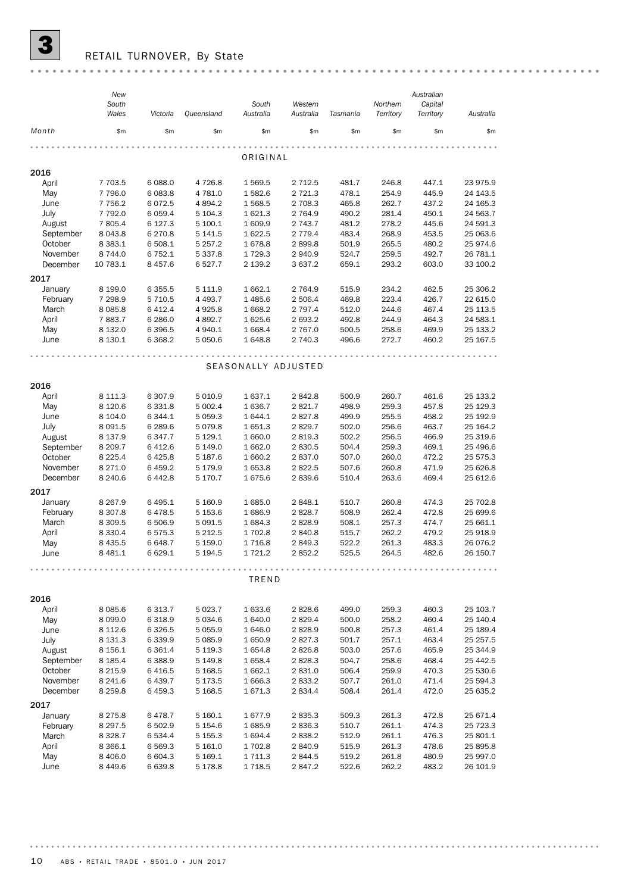

 $\overline{\mathbf{3}}$  RETAIL TURNOVER, By State

|                      | New<br>South             |                      |                            | South               | Western            |                 | Northern           | Australian<br>Capital |                      |
|----------------------|--------------------------|----------------------|----------------------------|---------------------|--------------------|-----------------|--------------------|-----------------------|----------------------|
| Month                | Wales<br>\$m\$           | Victoria<br>\$m\$    | Queensland<br>\$m\$        | Australia<br>\$m\$  | Australia<br>\$m\$ | Tasmania<br>\$m | Territory<br>\$m\$ | Territory<br>\$m\$    | Australia<br>\$m\$   |
|                      |                          |                      |                            |                     |                    |                 |                    |                       |                      |
|                      |                          |                      |                            | ORIGINAL            |                    |                 |                    |                       |                      |
| 2016                 |                          |                      |                            |                     |                    |                 |                    |                       |                      |
| April                | 7 703.5                  | 6 0 88.0             | 4 7 2 6.8                  | 1 569.5             | 2 7 1 2.5          | 481.7           | 246.8              | 447.1                 | 23 975.9             |
| May                  | 7 796.0                  | 6 083.8              | 4 781.0                    | 1582.6              | 2 7 2 1.3          | 478.1           | 254.9              | 445.9                 | 24 143.5             |
| June                 | 7 7 5 6.2                | 6072.5               | 4 8 9 4.2                  | 1568.5              | 2 708.3            | 465.8           | 262.7              | 437.2                 | 24 165.3             |
| July                 | 7 792.0                  | 6 0 5 9.4            | 5 104.3                    | 1 621.3             | 2 7 64.9           | 490.2           | 281.4              | 450.1                 | 24 563.7             |
| August               | 7 805.4                  | 6 1 27.3             | 5 100.1                    | 1 609.9             | 2 743.7            | 481.2           | 278.2              | 445.6                 | 24 591.3             |
| September            | 8 0 4 3.8                | 6 2 7 0.8            | 5 141.5                    | 1 622.5             | 2 7 7 9.4          | 483.4           | 268.9              | 453.5                 | 25 063.6             |
| October              | 8 3 8 3.1                | 6 508.1              | 5 2 5 7 . 2                | 1678.8              | 2899.8             | 501.9           | 265.5              | 480.2                 | 25 974.6             |
| November             | 8744.0                   | 6 7 5 2.1            | 5 3 3 7 . 8                | 1729.3              | 2940.9             | 524.7           | 259.5              | 492.7                 | 26 781.1             |
| December             | 10 783.1                 | 8 4 5 7.6            | 6 5 27.7                   | 2 139.2             | 3 637.2            | 659.1           | 293.2              | 603.0                 | 33 100.2             |
| 2017                 |                          |                      |                            |                     |                    |                 |                    |                       |                      |
| January              | 8 199.0                  | 6 3 5 5.5            | 5 111.9                    | 1 662.1             | 2764.9             | 515.9           | 234.2              | 462.5                 | 25 306.2             |
| February             | 7 298.9                  | 5 7 1 0.5            | 4 4 9 3.7                  | 1 485.6             | 2 506.4            | 469.8           | 223.4              | 426.7                 | 22 615.0             |
| March                | 8 0 8 5.8                | 6 4 1 2.4            | 4 9 25.8                   | 1 668.2             | 2 7 9 7.4          | 512.0           | 244.6              | 467.4                 | 25 113.5             |
| April                | 7883.7                   | 6 2 8 6.0            | 4 892.7                    | 1 625.6             | 2 693.2            | 492.8           | 244.9              | 464.3                 | 24 583.1             |
| May                  | 8 1 3 2.0                | 6 3 9 6.5            | 4 940.1                    | 1 668.4             | 2 767.0            | 500.5           | 258.6              | 469.9                 | 25 133.2             |
| June                 | 8 1 3 0.1                | 6 3 68.2             | 5 0 5 0.6                  | 1 648.8             | 2 740.3            | 496.6           | 272.7              | 460.2                 | 25 167.5             |
|                      |                          |                      |                            |                     |                    |                 |                    |                       |                      |
|                      |                          |                      |                            | SEASONALLY ADJUSTED |                    |                 |                    |                       |                      |
|                      |                          |                      |                            |                     |                    |                 |                    |                       |                      |
| 2016                 |                          |                      |                            |                     |                    |                 |                    |                       |                      |
| April                | 8 1 1 1.3                | 6 30 7.9             | 5 0 1 0.9                  | 1 637.1             | 2842.8             | 500.9           | 260.7              | 461.6                 | 25 133.2             |
| May                  | 8 1 2 0.6                | 6 3 3 1.8            | 5 002.4                    | 1 636.7             | 2821.7             | 498.9           | 259.3              | 457.8                 | 25 129.3             |
| June                 | 8 104.0                  | 6 3 4 4.1            | 5 0 5 9.3                  | 1644.1              | 2827.8             | 499.9           | 255.5              | 458.2                 | 25 192.9             |
| July                 | 8 0 9 1.5                | 6 289.6              | 5 0 7 9.8                  | 1 651.3             | 2829.7             | 502.0           | 256.6              | 463.7                 | 25 164.2             |
| August               | 8 1 3 7 . 9              | 6347.7               | 5 1 29.1                   | 1 660.0             | 2819.3             | 502.2           | 256.5              | 466.9                 | 25 319.6             |
| September            | 8 209.7                  | 6412.6               | 5 149.0                    | 1 662.0             | 2830.5             | 504.4           | 259.3              | 469.1                 | 25 496.6             |
| October              | 8 2 2 5.4                | 6425.8               | 5 187.6                    | 1 660.2             | 2837.0             | 507.0           | 260.0              | 472.2                 | 25 575.3             |
| November<br>December | 8 2 7 1.0                | 6 4 5 9.2<br>6442.8  | 5 179.9                    | 1 653.8             | 2822.5             | 507.6           | 260.8<br>263.6     | 471.9<br>469.4        | 25 626.8             |
|                      | 8 2 4 0.6                |                      | 5 170.7                    | 1675.6              | 2839.6             | 510.4           |                    |                       | 25 612.6             |
| 2017                 |                          |                      |                            |                     |                    |                 |                    |                       |                      |
| January              | 8 2 6 7 .9               | 6 4 9 5.1            | 5 160.9                    | 1685.0              | 2848.1             | 510.7           | 260.8              | 474.3                 | 25 702.8             |
| February             | 8 3 0 7.8                | 6478.5               | 5 1 5 3.6                  | 1686.9              | 2828.7             | 508.9           | 262.4              | 472.8                 | 25 699.6             |
| March                | 8 3 0 9.5                | 6 506.9              | 5 0 9 1.5                  | 1 684.3             | 2828.9             | 508.1           | 257.3              | 474.7                 | 25 661.1             |
| April                | 8 3 3 0.4                | 6575.3               | 5 2 1 2.5                  | 1 702.8             | 2840.8             | 515.7           | 262.2              | 479.2                 | 25 918.9             |
| May                  | 8 4 3 5.5                | 6 648.7              | 5 1 5 9.0                  | 1716.8              | 2849.3             | 522.2           | 261.3              | 483.3                 | 26 076.2             |
| June                 | 8 4 8 1.1                | 6 6 29.1             | 5 194.5                    | 1 721.2             | 2852.2             | 525.5           | 264.5              | 482.6                 | 26 150.7             |
|                      |                          |                      |                            |                     |                    |                 |                    |                       |                      |
|                      |                          |                      |                            | TREND               |                    |                 |                    |                       |                      |
|                      |                          |                      |                            |                     |                    |                 |                    |                       |                      |
| 2016                 |                          |                      |                            |                     |                    |                 |                    |                       |                      |
| April                | 8 0 8 5.6                | 6 3 1 3.7            | 5 0 23.7                   | 1 633.6             | 2828.6             | 499.0           | 259.3              | 460.3                 | 25 103.7             |
| May                  | 8 0 9 9.0                | 6318.9               | 5 0 3 4.6                  | 1 640.0             | 2829.4             | 500.0           | 258.2              | 460.4                 | 25 140.4             |
| June                 | 8 1 1 2.6                | 6 3 2 6.5            | 5 0 5 5.9                  | 1 646.0             | 2828.9             | 500.8           | 257.3              | 461.4                 | 25 189.4             |
| July                 | 8 1 3 1.3                | 6339.9               | 5 0 8 5.9                  | 1650.9              | 2827.3             | 501.7           | 257.1              | 463.4                 | 25 257.5             |
| August               | 8 156.1                  | 6 3 6 1.4            | 5 1 1 9 . 3                | 1 654.8             | 2826.8             | 503.0           | 257.6              | 465.9                 | 25 344.9             |
| September<br>October | 8 1 8 5.4<br>8 2 1 5 . 9 | 6 3 8 8.9<br>6416.5  | 5 149.8<br>5 1 68.5        | 1 658.4<br>1 662.1  | 2828.3<br>2 831.0  | 504.7<br>506.4  | 258.6<br>259.9     | 468.4<br>470.3        | 25 442.5<br>25 530.6 |
| November             | 8 2 4 1.6                | 6 439.7              | 5 173.5                    | 1 666.3             | 2833.2             | 507.7           | 261.0              | 471.4                 | 25 594.3             |
| December             | 8 2 5 9.8                | 6459.3               | 5 1 68.5                   | 1671.3              | 2834.4             | 508.4           | 261.4              | 472.0                 | 25 635.2             |
|                      |                          |                      |                            |                     |                    |                 |                    |                       |                      |
| 2017                 |                          |                      |                            |                     |                    |                 |                    |                       |                      |
| January<br>February  | 8 2 7 5 . 8              | 6478.7               | 5 160.1                    | 1677.9              | 2835.3             | 509.3           | 261.3              | 472.8                 | 25 671.4             |
| March                | 8 2 9 7 .5<br>8 3 28.7   | 6 502.9<br>6 5 3 4.4 | 5 1 5 4 . 6<br>5 1 5 5 . 3 | 1685.9<br>1 694.4   | 2836.3<br>2838.2   | 510.7<br>512.9  | 261.1<br>261.1     | 474.3<br>476.3        | 25 723.3<br>25 801.1 |
| April                | 8 3 6 6.1                | 6 5 69.3             | 5 161.0                    | 1 702.8             | 2840.9             | 515.9           | 261.3              | 478.6                 | 25 895.8             |
| May                  | 8 4 0 6.0                | 6 604.3              | 5 169.1                    | 1 711.3             | 2844.5             | 519.2           | 261.8              | 480.9                 | 25 997.0             |
| June                 | 8 4 4 9.6                | 6 639.8              | 5 178.8                    | 1718.5              | 2847.2             | 522.6           | 262.2              | 483.2                 | 26 101.9             |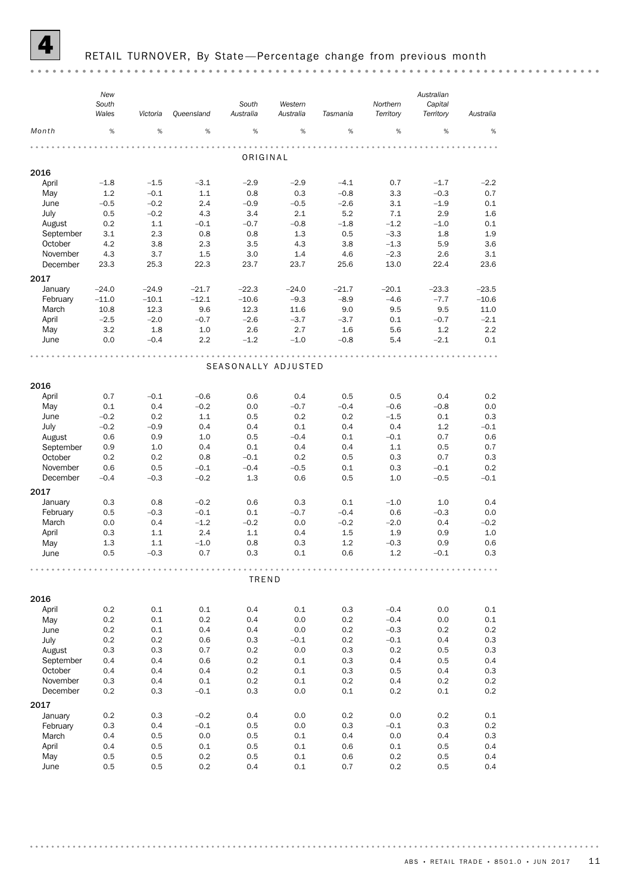

#### RETAIL TURNOVER, By State-Percentage change from previous month

*New Australian South South Western Northern Capital Wales Australia Victoria Queensland Australia Tasmania Territory Territory Australia Month* % % % % % % % % % ORIGINAL 2016 April –1.8 –1.5 –3.1 –2.9 –2.9 –4.1 0.7 –1.7 –2.2 May 1.2 –0.1 1.1 0.8 0.3 –0.8 3.3 –0.3 0.7 June –0.5 –0.2 2.4 –0.9 –0.5 –2.6 3.1 –1.9 0.1 July 0.5 –0.2 4.3 3.4 2.1 5.2 7.1 2.9 1.6 August 0.2 1.1 –0.1 –0.7 –0.8 –1.8 –1.2 –1.0 0.1 September 3.1 2.3 0.8 0.8 1.3 0.5 –3.3 1.8 1.9 October 4.2 3.8 2.3 3.5 4.3 3.8 –1.3 5.9 3.6 November 4.3 3.7 1.5 3.0 1.4 4.6 –2.3 2.6 3.1 December 23.3 25.3 22.3 23.7 23.7 25.6 13.0 22.4 23.6 2017 January –24.0 –24.9 –21.7 –22.3 –24.0 –21.7 –20.1 –23.3 –23.5 February –11.0 –10.1 –12.1 –10.6 –9.3 –8.9 –4.6 –7.7 –10.6 March 10.8 12.3 9.6 12.3 11.6 9.0 9.5 9.5 11.0 April –2.5 –2.0 –0.7 –2.6 –3.7 –3.7 0.1 –0.7 –2.1 May 3.2 1.8 1.0 2.6 2.7 1.6 5.6 1.2 2.2 June 0.0 –0.4 2.2 –1.2 –1.0 –0.8 5.4 –2.1 0.1 SEASONALLY ADJUSTED 2016 April 0.7 –0.1 –0.6 0.6 0.4 0.5 0.5 0.4 0.2 May 0.1 0.4 –0.2 0.0 –0.7 –0.4 –0.6 –0.8 0.0 June –0.2 0.2 1.1 0.5 0.2 0.2 –1.5 0.1 0.3 July –0.2 –0.9 0.4 0.4 0.1 0.4 0.4 1.2 –0.1 August 0.6 0.9 1.0 0.5 –0.4 0.1 –0.1 0.7 0.6 September 0.9 1.0 0.4 0.1 0.4 0.4 1.1 0.5 0.7 October 0.2 0.2 0.8 –0.1 0.2 0.5 0.3 0.7 0.3 November 0.6 0.5 –0.1 –0.4 –0.5 0.1 0.3 –0.1 0.2 December –0.4 –0.3 –0.2 1.3 0.6 0.5 1.0 –0.5 –0.1 2017 January 0.3 0.8 –0.2 0.6 0.3 0.1 –1.0 1.0 0.4 February 0.5 –0.3 –0.1 0.1 –0.7 –0.4 0.6 –0.3 0.0 March 0.0 0.4 –1.2 –0.2 0.0 –0.2 –2.0 0.4 –0.2 April 0.3 1.1 2.4 1.1 0.4 1.5 1.9 0.9 1.0 May 1.3 1.1 –1.0 0.8 0.3 1.2 –0.3 0.9 0.6 June 0.5 –0.3 0.7 0.3 0.1 0.6 1.2 –0.1 0.3 TREND 2016 April 0.2 0.1 0.1 0.4 0.1 0.3 –0.4 0.0 0.1 May 0.2 0.1 0.2 0.4 0.0 0.2 –0.4 0.0 0.1 June 0.2 0.1 0.4 0.4 0.0 0.2 –0.3 0.2 0.2 July 0.2 0.2 0.6 0.3 –0.1 0.2 –0.1 0.4 0.3 August 0.3 0.3 0.7 0.2 0.0 0.3 0.2 0.5 0.3 September 0.4 0.4 0.6 0.2 0.1 0.3 0.4 0.5 0.4 October 0.4 0.4 0.4 0.2 0.1 0.3 0.5 0.4 0.3 November 0.3 0.4 0.1 0.2 0.1 0.2 0.4 0.2 0.2 December 0.2 0.3 –0.1 0.3 0.0 0.1 0.2 0.1 0.2 2017 January 0.2 0.3 –0.2 0.4 0.0 0.2 0.0 0.2 0.1 February 0.3 0.4 –0.1 0.5 0.0 0.3 –0.1 0.3 0.2 March 0.4 0.5 0.0 0.5 0.1 0.4 0.0 0.4 0.3 April 0.4 0.5 0.1 0.5 0.1 0.6 0.1 0.5 0.4 May 0.5 0.5 0.2 0.5 0.1 0.6 0.2 0.5 0.4 June 0.5 0.5 0.2 0.4 0.1 0.7 0.2 0.5 0.4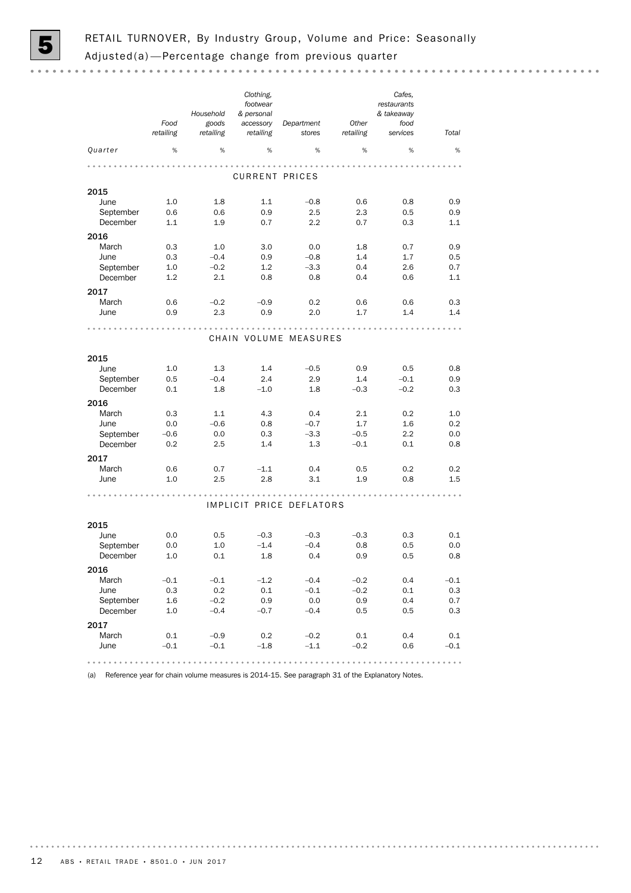

|                       | Food<br>retailing | Household<br>goods<br>retailing | Clothing,<br>footwear<br>& personal<br>accessory<br>retailing | Department<br>stores     | Other<br>retailing | Cafes,<br>restaurants<br>& takeaway<br>food<br>services | Total      |
|-----------------------|-------------------|---------------------------------|---------------------------------------------------------------|--------------------------|--------------------|---------------------------------------------------------|------------|
| Quarter               | %                 | %                               | %                                                             | %                        | %                  | %                                                       | %          |
|                       |                   |                                 |                                                               |                          |                    |                                                         |            |
|                       |                   |                                 | <b>CURRENT PRICES</b>                                         |                          |                    |                                                         |            |
| 2015                  |                   |                                 |                                                               |                          |                    |                                                         |            |
| June                  | 1.0               | 1.8                             | 1.1                                                           | $-0.8$                   | 0.6                | 0.8                                                     | 0.9        |
| September             | 0.6               | 0.6                             | 0.9                                                           | 2.5                      | 2.3                | 0.5                                                     | 0.9        |
| December              | 1.1               | 1.9                             | 0.7                                                           | 2.2                      | 0.7                | 0.3                                                     | 1.1        |
| 2016                  |                   |                                 |                                                               |                          |                    |                                                         |            |
| March                 | 0.3               | 1.0                             | 3.0                                                           | 0.0                      | 1.8                | 0.7                                                     | 0.9        |
| June                  | 0.3               | $-0.4$                          | 0.9                                                           | $-0.8$                   | 1.4                | 1.7                                                     | 0.5        |
| September<br>December | 1.0<br>1.2        | $-0.2$<br>2.1                   | 1.2<br>0.8                                                    | $-3.3$<br>0.8            | 0.4<br>0.4         | 2.6<br>0.6                                              | 0.7<br>1.1 |
|                       |                   |                                 |                                                               |                          |                    |                                                         |            |
| 2017                  |                   |                                 |                                                               |                          |                    |                                                         |            |
| March                 | 0.6               | $-0.2$<br>2.3                   | $-0.9$<br>0.9                                                 | 0.2<br>2.0               | 0.6<br>1.7         | 0.6<br>1.4                                              | 0.3<br>1.4 |
| June                  | 0.9               |                                 |                                                               |                          |                    |                                                         |            |
|                       |                   |                                 |                                                               | CHAIN VOLUME MEASURES    |                    |                                                         |            |
|                       |                   |                                 |                                                               |                          |                    |                                                         |            |
| 2015                  |                   |                                 |                                                               |                          |                    |                                                         |            |
| June                  | 1.0               | 1.3                             | 1.4                                                           | $-0.5$                   | 0.9                | 0.5                                                     | 0.8        |
| September<br>December | 0.5<br>0.1        | $-0.4$<br>1.8                   | 2.4<br>$-1.0$                                                 | 2.9<br>1.8               | 1.4<br>$-0.3$      | $-0.1$<br>$-0.2$                                        | 0.9<br>0.3 |
|                       |                   |                                 |                                                               |                          |                    |                                                         |            |
| 2016                  |                   |                                 |                                                               |                          |                    |                                                         |            |
| March                 | 0.3               | 1.1                             | 4.3                                                           | 0.4                      | 2.1                | 0.2                                                     | 1.0        |
| June<br>September     | 0.0<br>$-0.6$     | $-0.6$<br>0.0                   | 0.8<br>0.3                                                    | $-0.7$<br>$-3.3$         | 1.7<br>$-0.5$      | 1.6<br>2.2                                              | 0.2<br>0.0 |
| December              | 0.2               | 2.5                             | 1.4                                                           | 1.3                      | $-0.1$             | 0.1                                                     | 0.8        |
|                       |                   |                                 |                                                               |                          |                    |                                                         |            |
| 2017<br>March         | 0.6               | 0.7                             | $-1.1$                                                        | 0.4                      | 0.5                | 0.2                                                     | 0.2        |
| June                  | 1.0               | 2.5                             | 2.8                                                           | 3.1                      | 1.9                | 0.8                                                     | 1.5        |
|                       |                   |                                 |                                                               |                          |                    |                                                         |            |
|                       |                   |                                 |                                                               | IMPLICIT PRICE DEFLATORS |                    |                                                         |            |
| 2015                  |                   |                                 |                                                               |                          |                    |                                                         |            |
| June                  | 0.0               | 0.5                             | $-0.3$                                                        | $-0.3$                   | $-0.3$             | 0.3                                                     | 0.1        |
| September             | 0.0               | 1.0                             | $-1.4$                                                        | $-0.4$                   | 0.8                | 0.5                                                     | 0.0        |
| December              | 1.0               | 0.1                             | 1.8                                                           | 0.4                      | 0.9                | 0.5                                                     | 0.8        |
| 2016                  |                   |                                 |                                                               |                          |                    |                                                         |            |
| March                 | $-0.1$            | $-0.1$                          | $-1.2$                                                        | $-0.4$                   | $-0.2$             | 0.4                                                     | $-0.1$     |
| June                  | 0.3               | 0.2                             | 0.1                                                           | $-0.1$                   | $-0.2$             | 0.1                                                     | 0.3        |
| September             | 1.6               | $-0.2$                          | 0.9                                                           | 0.0                      | 0.9                | 0.4                                                     | 0.7        |
| December              | 1.0               | $-0.4$                          | $-0.7$                                                        | $-0.4$                   | 0.5                | 0.5                                                     | 0.3        |
| 2017                  |                   |                                 |                                                               |                          |                    |                                                         |            |
| March                 | 0.1               | $-0.9$                          | 0.2                                                           | $-0.2$                   | 0.1                | 0.4                                                     | 0.1        |
| June                  | $-0.1$            | $-0.1$                          | $-1.8$                                                        | $-1.1$                   | $-0.2$             | 0.6                                                     | $-0.1$     |
|                       |                   |                                 |                                                               |                          |                    |                                                         |            |

(a) Reference year for chain volume measures is 2014-15. See paragraph 31 of the Explanatory Notes.

. . . . . . . . .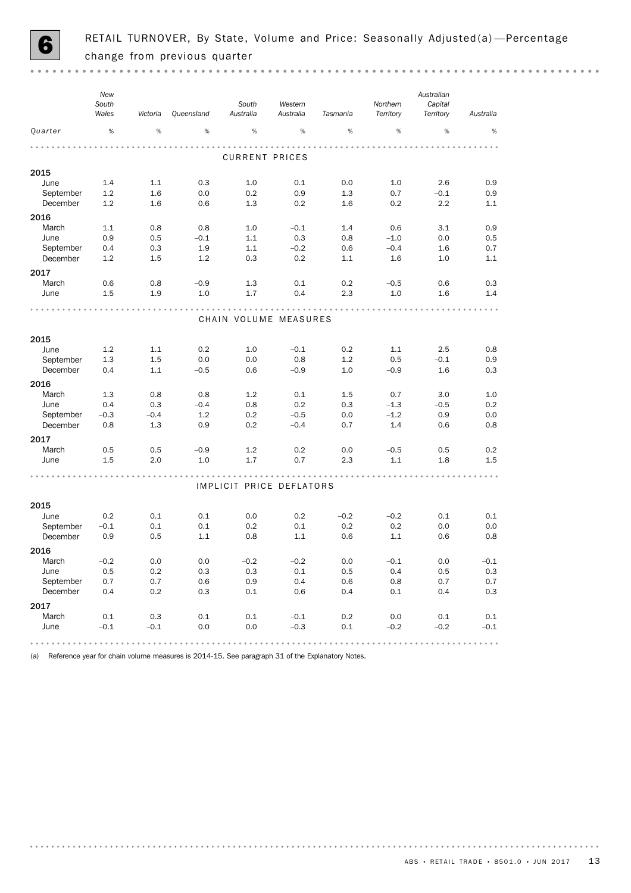

|                   | New<br>South<br>Wales | Victoria      | Queensland    | South<br>Australia       | Western<br>Australia | Tasmania   | Northern<br>Territory | Australian<br>Capital<br>Territory | Australia  |
|-------------------|-----------------------|---------------|---------------|--------------------------|----------------------|------------|-----------------------|------------------------------------|------------|
| Quarter           | %                     | %             | %             | %                        | %                    | %          | %                     | %                                  | %          |
|                   |                       |               |               |                          |                      |            |                       |                                    |            |
|                   |                       |               |               | <b>CURRENT PRICES</b>    |                      |            |                       |                                    |            |
| 2015              |                       |               |               |                          |                      |            |                       |                                    |            |
| June              | 1.4                   | 1.1           | 0.3           | 1.0                      | 0.1                  | 0.0        | 1.0                   | 2.6                                | 0.9        |
| September         | 1.2                   | 1.6           | 0.0           | 0.2                      | 0.9                  | 1.3        | 0.7                   | $-0.1$                             | 0.9        |
| December          | 1.2                   | 1.6           | 0.6           | 1.3                      | 0.2                  | 1.6        | 0.2                   | 2.2                                | 1.1        |
| 2016              |                       |               |               |                          |                      |            |                       |                                    |            |
| March             | 1.1                   | 0.8           | 0.8           | 1.0                      | $-0.1$               | 1.4        | 0.6                   | 3.1                                | 0.9        |
| June              | 0.9                   | 0.5           | $-0.1$        | 1.1                      | 0.3                  | 0.8        | $-1.0$                | 0.0                                | 0.5        |
| September         | 0.4                   | 0.3           | 1.9           | 1.1                      | $-0.2$               | 0.6        | $-0.4$                | 1.6                                | 0.7        |
| December          | 1.2                   | 1.5           | 1.2           | 0.3                      | 0.2                  | 1.1        | 1.6                   | 1.0                                | 1.1        |
| 2017              |                       |               |               |                          |                      |            |                       |                                    |            |
| March             | 0.6                   | 0.8           | $-0.9$        | 1.3                      | 0.1                  | 0.2        | $-0.5$                | 0.6                                | 0.3        |
| June              | 1.5                   | 1.9           | 1.0           | 1.7                      | 0.4                  | 2.3        | 1.0                   | 1.6                                | 1.4        |
|                   |                       |               |               |                          |                      |            |                       |                                    |            |
|                   |                       |               |               | CHAIN VOLUME MEASURES    |                      |            |                       |                                    |            |
|                   |                       |               |               |                          |                      |            |                       |                                    |            |
| 2015              | 1.2                   | 1.1           |               |                          |                      |            |                       |                                    |            |
| June<br>September | 1.3                   | 1.5           | 0.2<br>0.0    | 1.0<br>0.0               | $-0.1$<br>0.8        | 0.2<br>1.2 | 1.1<br>0.5            | 2.5<br>$-0.1$                      | 0.8<br>0.9 |
| December          | 0.4                   | 1.1           | $-0.5$        | 0.6                      | $-0.9$               | 1.0        | $-0.9$                | 1.6                                | 0.3        |
|                   |                       |               |               |                          |                      |            |                       |                                    |            |
| 2016              |                       |               |               |                          |                      |            |                       |                                    |            |
| March<br>June     | 1.3                   | 0.8           | 0.8           | 1.2                      | 0.1                  | 1.5        | 0.7                   | 3.0                                | 1.0        |
| September         | 0.4<br>$-0.3$         | 0.3<br>$-0.4$ | $-0.4$<br>1.2 | 0.8<br>0.2               | 0.2<br>$-0.5$        | 0.3<br>0.0 | $-1.3$<br>$-1.2$      | $-0.5$<br>0.9                      | 0.2<br>0.0 |
| December          | 0.8                   | 1.3           | 0.9           | 0.2                      | $-0.4$               | 0.7        | 1.4                   | 0.6                                | 0.8        |
|                   |                       |               |               |                          |                      |            |                       |                                    |            |
| 2017              |                       |               |               |                          |                      |            |                       |                                    |            |
| March<br>June     | 0.5<br>1.5            | 0.5<br>2.0    | $-0.9$<br>1.0 | 1.2<br>1.7               | 0.2<br>0.7           | 0.0<br>2.3 | $-0.5$<br>1.1         | 0.5<br>1.8                         | 0.2<br>1.5 |
|                   |                       |               |               |                          |                      |            |                       |                                    |            |
|                   |                       |               |               |                          |                      |            |                       |                                    |            |
|                   |                       |               |               | IMPLICIT PRICE DEFLATORS |                      |            |                       |                                    |            |
| 2015              |                       |               |               |                          |                      |            |                       |                                    |            |
| June              | 0.2                   | 0.1           | 0.1           | 0.0                      | 0.2                  | $-0.2$     | $-0.2$                | 0.1                                | 0.1        |
| September         | $-0.1$                | 0.1           | 0.1           | 0.2                      | 0.1                  | 0.2        | 0.2                   | 0.0                                | 0.0        |
| December          | 0.9                   | 0.5           | 1.1           | 0.8                      | 1.1                  | 0.6        | 1.1                   | 0.6                                | 0.8        |
| 2016              |                       |               |               |                          |                      |            |                       |                                    |            |
| March             | $-0.2$                | 0.0           | 0.0           | $-0.2$                   | $-0.2$               | 0.0        | $-0.1$                | 0.0                                | $-0.1$     |
| June              | 0.5                   | 0.2           | 0.3           | 0.3                      | 0.1                  | 0.5        | 0.4                   | 0.5                                | 0.3        |
| September         | 0.7                   | 0.7           | 0.6           | 0.9                      | 0.4                  | 0.6        | 0.8                   | 0.7                                | 0.7        |
| December          | 0.4                   | 0.2           | 0.3           | 0.1                      | 0.6                  | 0.4        | $0.1\,$               | 0.4                                | 0.3        |
| 2017              |                       |               |               |                          |                      |            |                       |                                    |            |
| March             | $0.1\,$               | 0.3           | 0.1           | $0.1\,$                  | $-0.1$               | $0.2\,$    | 0.0                   | $0.1\,$                            | 0.1        |
| June              | $-0.1$                | $-0.1$        | 0.0           | 0.0                      | $-0.3$               | $0.1\,$    | $-0.2$                | $-0.2$                             | $-0.1$     |
|                   |                       |               |               |                          |                      |            |                       |                                    |            |

(a) Reference year for chain volume measures is 2014-15. See paragraph 31 of the Explanatory Notes.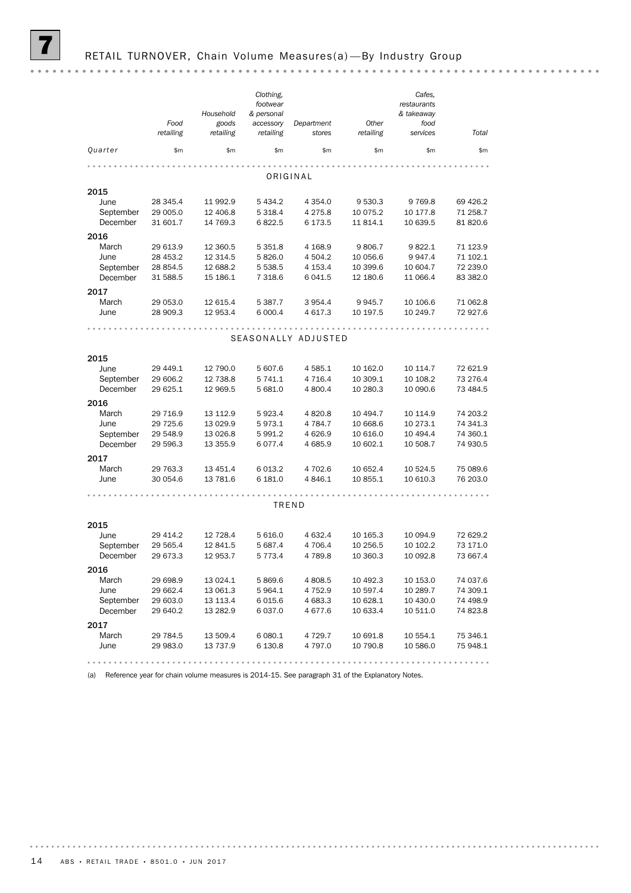|               | Food<br>retailing    | Household<br>goods<br>retailing | Clothing,<br>footwear<br>& personal<br>accessory<br>retailing | Department<br>stores | Other<br>retailing   | Cafes,<br>restaurants<br>& takeaway<br>food<br>services | Total                |
|---------------|----------------------|---------------------------------|---------------------------------------------------------------|----------------------|----------------------|---------------------------------------------------------|----------------------|
| Quarter       | \$m\$                | \$m                             | \$m                                                           | \$m\$                | \$m                  | \$m                                                     | \$m                  |
|               |                      |                                 |                                                               |                      |                      |                                                         |                      |
|               |                      |                                 |                                                               | ORIGINAL             |                      |                                                         |                      |
| 2015          |                      |                                 |                                                               |                      |                      |                                                         |                      |
| June          | 28 345.4             | 11 992.9                        | 5 4 3 4.2                                                     | 4 3 5 4 .0           | 9 530.3              | 9769.8                                                  | 69 4 26.2            |
| September     | 29 005.0             | 12 406.8                        | 5 3 18.4                                                      | 4 2 7 5.8            | 10 075.2             | 10 177.8                                                | 71 258.7             |
| December      | 31 601.7             | 14 769.3                        | 6822.5                                                        | 6 173.5              | 11 814.1             | 10 639.5                                                | 81 820.6             |
| 2016          |                      |                                 |                                                               |                      |                      |                                                         |                      |
| March         | 29 613.9             | 12 360.5                        | 5 3 5 1.8                                                     | 4 168.9              | 9806.7               | 9822.1                                                  | 71 123.9             |
| June          | 28 453.2             | 12 314.5                        | 5826.0                                                        | 4 504.2              | 10 056.6             | 9 9 4 7.4                                               | 71 102.1             |
| September     | 28 854.5             | 12 688.2                        | 5 538.5                                                       | 4 153.4              | 10 399.6             | 10 604.7                                                | 72 239.0             |
| December      | 31 588.5             | 15 186.1                        | 7 318.6                                                       | 6 0 4 1.5            | 12 180.6             | 11 066.4                                                | 83 382.0             |
| 2017          |                      |                                 |                                                               |                      |                      |                                                         |                      |
| March         | 29 053.0             | 12 615.4                        | 5 387.7                                                       | 3 9 5 4.4            | 9945.7               | 10 106.6                                                | 71 062.8             |
| June          | 28 909.3             | 12 953.4                        | 6 000.4                                                       | 4 617.3              | 10 197.5             | 10 249.7                                                | 72 927.6             |
|               |                      |                                 |                                                               |                      |                      |                                                         |                      |
|               |                      |                                 |                                                               | SEASONALLY ADJUSTED  |                      |                                                         |                      |
|               |                      |                                 |                                                               |                      |                      |                                                         |                      |
| 2015          |                      |                                 |                                                               |                      |                      |                                                         |                      |
| June          | 29 449.1             | 12 790.0                        | 5 607.6                                                       | 4 5 8 5.1            | 10 162.0             | 10 114.7                                                | 72 621.9             |
| September     | 29 606.2             | 12 738.8                        | 5 741.1                                                       | 4 7 1 6.4            | 10 309.1             | 10 108.2                                                | 73 276.4             |
| December      | 29 625.1             | 12 969.5                        | 5 681.0                                                       | 4 800.4              | 10 280.3             | 10 090.6                                                | 73 484.5             |
| 2016          |                      |                                 |                                                               |                      |                      |                                                         |                      |
| March         | 29 716.9             | 13 112.9                        | 5 923.4                                                       | 4820.8               | 10 494.7             | 10 114.9                                                | 74 203.2             |
| June          | 29 7 25.6            | 13 0 29.9                       | 5973.1                                                        | 4 784.7              | 10 668.6             | 10 273.1                                                | 74 341.3             |
| September     | 29 548.9             | 13 0 26.8                       | 5 991.2                                                       | 4626.9               | 10 616.0             | 10 494.4                                                | 74 360.1             |
| December      | 29 596.3             | 13 355.9                        | 6077.4                                                        | 4 685.9              | 10 602.1             | 10 508.7                                                | 74 930.5             |
| 2017          |                      |                                 |                                                               |                      |                      |                                                         |                      |
| March         | 29 763.3             | 13 451.4                        | 6 0 13.2                                                      | 4 702.6              | 10 652.4             | 10 524.5                                                | 75 089.6             |
| June          | 30 054.6             | 13 781.6                        | 6 181.0                                                       | 4 8 4 6.1            | 10 855.1             | 10 610.3                                                | 76 203.0             |
|               |                      |                                 |                                                               |                      |                      |                                                         |                      |
|               |                      |                                 |                                                               |                      |                      |                                                         |                      |
|               |                      |                                 |                                                               | TREND                |                      |                                                         |                      |
| 2015          |                      |                                 |                                                               |                      |                      |                                                         |                      |
| June          | 29 414.2             | 12 728.4                        | 5 616.0                                                       | 4 632.4              | 10 165.3             | 10 094.9                                                | 72 629.2             |
| September     | 29 565.4             | 12 841.5                        | 5 687.4                                                       | 4 706.4              | 10 256.5             | 10 102.2                                                | 73 171.0             |
| December      | 29 673.3             | 12 953.7                        | 5 773.4                                                       | 4789.8               | 10 360.3             | 10 092.8                                                | 73 667.4             |
| 2016          |                      |                                 |                                                               |                      |                      |                                                         |                      |
| March         | 29 698.9             | 13 0 24.1                       |                                                               | 4 808.5              | 10 492.3             |                                                         | 74 037.6             |
| June          | 29 662.4             | 13 061.3                        | 5 869.6<br>5 964.1                                            | 4 752.9              | 10 597.4             | 10 153.0<br>10 289.7                                    | 74 309.1             |
| September     | 29 603.0             | 13 113.4                        | 6015.6                                                        | 4 683.3              | 10 628.1             | 10 430.0                                                | 74 498.9             |
| December      | 29 640.2             | 13 282.9                        | 6 037.0                                                       | 4677.6               | 10 633.4             | 10 511.0                                                | 74 823.8             |
|               |                      |                                 |                                                               |                      |                      |                                                         |                      |
| 2017          |                      |                                 |                                                               |                      |                      |                                                         |                      |
| March<br>June | 29 784.5<br>29 983.0 | 13 509.4<br>13 737.9            | 6 080.1<br>6 130.8                                            | 4 729.7<br>4 797.0   | 10 691.8<br>10 790.8 | 10 554.1<br>10 586.0                                    | 75 346.1<br>75 948.1 |
|               |                      |                                 |                                                               |                      |                      |                                                         |                      |
|               |                      |                                 |                                                               |                      |                      |                                                         |                      |

(a) Reference year for chain volume measures is 2014-15. See paragraph 31 of the Explanatory Notes.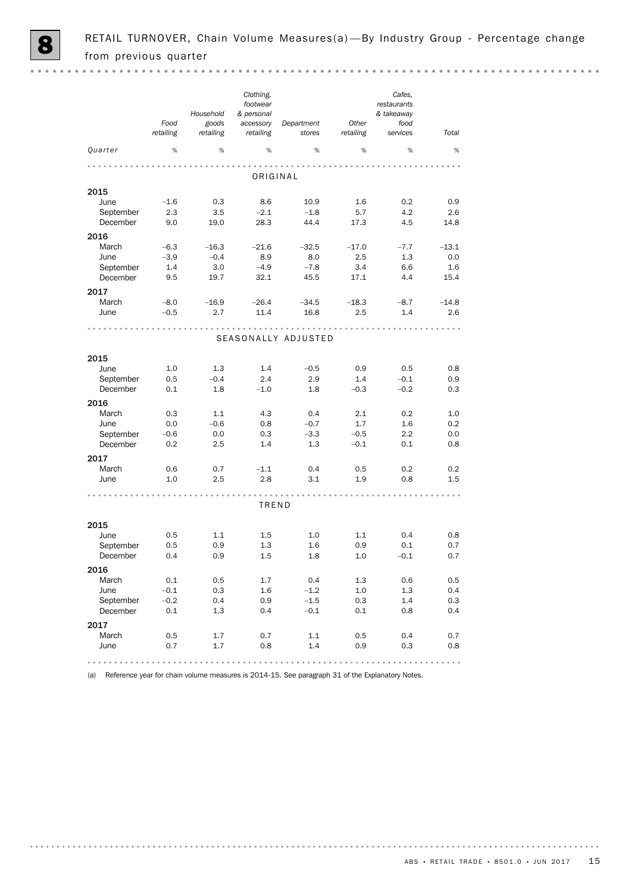|                       |                   | Household          | Clothing,<br>footwear<br>& personal |                      |                    | Cafes,<br>restaurants<br>& takeaway |                                                                  |
|-----------------------|-------------------|--------------------|-------------------------------------|----------------------|--------------------|-------------------------------------|------------------------------------------------------------------|
|                       | Food<br>retailing | goods<br>retailing | accessory<br>retailing              | Department<br>stores | Other<br>retailing | food<br>services                    | Total                                                            |
| Quarter               | %                 | %                  | %                                   | %                    | %                  | %                                   | %                                                                |
|                       |                   |                    |                                     |                      |                    |                                     |                                                                  |
|                       |                   |                    | ORIGINAL                            |                      |                    |                                     |                                                                  |
| 2015                  |                   |                    |                                     |                      |                    |                                     |                                                                  |
| June                  | $-1.6$            | 0.3                | 8.6<br>$-2.1$                       | 10.9                 | 1.6                | 0.2                                 | 0.9                                                              |
| September<br>December | 2.3<br>9.0        | 3.5<br>19.0        | 28.3                                | $-1.8$<br>44.4       | 5.7<br>17.3        | 4.2<br>4.5                          | 2.6<br>14.8                                                      |
|                       |                   |                    |                                     |                      |                    |                                     |                                                                  |
| 2016<br>March         | $-6.3$            | $-16.3$            | $-21.6$                             | $-32.5$              | $-17.0$            | $-7.7$                              | $-13.1$                                                          |
| June                  | $-3.9$            | $-0.4$             | 8.9                                 | 8.0                  | 2.5                | 1.3                                 | 0.0                                                              |
| September             | 1.4               | 3.0                | $-4.9$                              | $-7.8$               | 3.4                | 6.6                                 | 1.6                                                              |
| December              | 9.5               | 19.7               | 32.1                                | 45.5                 | 17.1               | 4.4                                 | 15.4                                                             |
| 2017                  |                   |                    |                                     |                      |                    |                                     |                                                                  |
| March                 | $-8.0$            | $-16.9$            | $-26.4$                             | $-34.5$              | $-18.3$            | $-8.7$                              | $-14.8$                                                          |
| June                  | $-0.5$            | 2.7                | 11.4                                | 16.8                 | 2.5                | 1.4                                 | 2.6                                                              |
|                       |                   |                    |                                     |                      |                    |                                     |                                                                  |
|                       |                   |                    |                                     | SEASONALLY ADJUSTED  |                    |                                     |                                                                  |
| 2015                  |                   |                    |                                     |                      |                    |                                     |                                                                  |
| June                  | 1.0               | 1.3                | 1.4                                 | $-0.5$               | 0.9                | 0.5                                 | 0.8                                                              |
| September             | 0.5               | $-0.4$             | 2.4                                 | 2.9                  | 1.4                | $-0.1$                              | 0.9                                                              |
| December              | 0.1               | 1.8                | $-1.0$                              | 1.8                  | $-0.3$             | $-0.2$                              | 0.3                                                              |
| 2016                  |                   |                    |                                     |                      |                    |                                     |                                                                  |
| March                 | 0.3               | 1.1                | 4.3                                 | 0.4                  | 2.1                | 0.2                                 | 1.0                                                              |
| June                  | 0.0               | $-0.6$             | 0.8                                 | $-0.7$               | 1.7                | 1.6                                 | 0.2                                                              |
| September             | $-0.6$            | 0.0                | 0.3                                 | $-3.3$               | $-0.5$             | 2.2                                 | 0.0                                                              |
| December              | 0.2               | 2.5                | 1.4                                 | 1.3                  | $-0.1$             | 0.1                                 | 0.8                                                              |
| 2017                  |                   |                    |                                     |                      |                    |                                     |                                                                  |
| March                 | 0.6               | 0.7                | $-1.1$                              | 0.4                  | 0.5                | 0.2                                 | 0.2                                                              |
| June                  | 1.0               | 2.5                | 2.8                                 | 3.1                  | 1.9                | 0.8                                 | $1.5\,$                                                          |
|                       |                   |                    | TREND                               |                      |                    |                                     |                                                                  |
| 2015                  |                   |                    |                                     |                      |                    |                                     |                                                                  |
| June                  | 0.5               | 1.1                | 1.5                                 | 1.0                  | 1.1                | 0.4                                 | 0.8                                                              |
| September             | 0.5               | 0.9                | 1.3                                 | 1.6                  | 0.9                | 0.1                                 | 0.7                                                              |
| December              | 0.4               | 0.9                | 1.5                                 | 1.8                  | 1.0                | $-0.1$                              | 0.7                                                              |
| 2016                  |                   |                    |                                     |                      |                    |                                     |                                                                  |
| March                 | 0.1               | 0.5                | 1.7                                 | 0.4                  | 1.3                | 0.6                                 | 0.5                                                              |
| June                  | $-0.1$            | 0.3                | 1.6                                 | $-1.2$               | 1.0                | 1.3                                 | 0.4                                                              |
| September             | $-0.2$            | 0.4                | 0.9                                 | $-1.5$               | 0.3                | 1.4                                 | 0.3                                                              |
| December              | 0.1               | 1.3                | 0.4                                 | $-0.1$               | 0.1                | 0.8                                 | 0.4                                                              |
| 2017                  |                   |                    |                                     |                      |                    |                                     |                                                                  |
| March                 | 0.5               | 1.7                | 0.7                                 | 1.1                  | 0.5                | 0.4                                 | 0.7                                                              |
| June                  | 0.7               | 1.7                | 0.8                                 | 1.4                  | 0.9                | 0.3                                 | 0.8                                                              |
|                       |                   | ٠                  |                                     | A                    |                    |                                     | $\begin{array}{ccccccccccccc} 0 & 0 & 0 & 0 & 0 & 0 \end{array}$ |

(a) Reference year for chain volume measures is 2014-15. See paragraph 31 of the Explanatory Notes.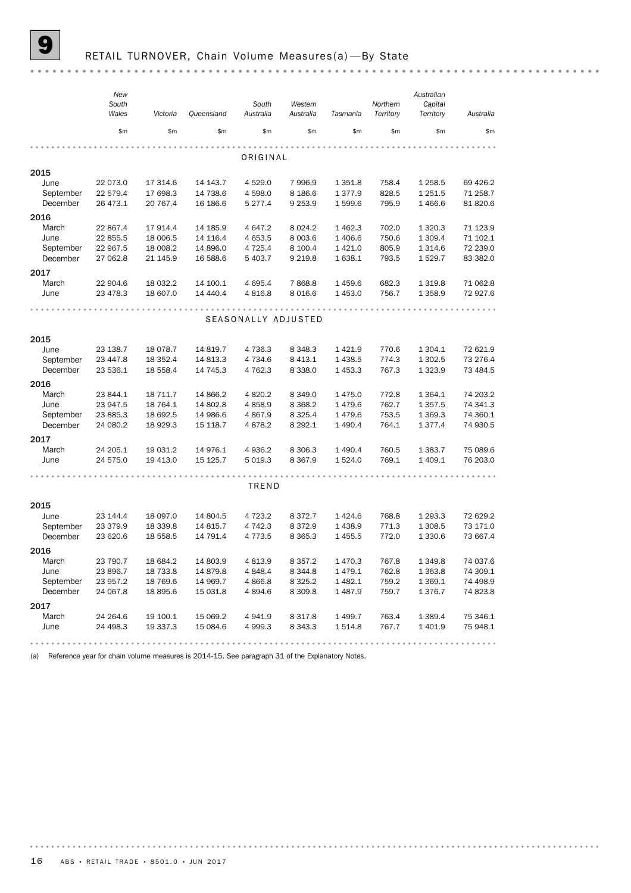# RETAIL TURNOVER, Chain Volume Measures(a)-By State

|                       | New<br>South<br>Wales | Victoria             | Queensland | South<br>Australia    | Western<br>Australia     | Tasmania          | Northern<br>Territory | Australian<br>Capital<br>Territory | Australia |
|-----------------------|-----------------------|----------------------|------------|-----------------------|--------------------------|-------------------|-----------------------|------------------------------------|-----------|
|                       | \$m                   | \$m\$                | \$m        | \$m                   | \$m\$                    | \$m\$             | \$m                   | \$m                                | \$m       |
|                       |                       |                      |            | ORIGINAL              |                          |                   |                       |                                    |           |
| 2015                  |                       |                      |            |                       |                          |                   |                       |                                    |           |
| June                  | 22 073.0              | 17 314.6             | 14 143.7   | 4 5 29.0              | 7 996.9                  | 1 351.8           | 758.4                 | 1 2 5 8.5                          | 69 4 26.2 |
| September             | 22 579.4              | 17 698.3             | 14 738.6   | 4 598.0               | 8 186.6                  | 1 377.9           | 828.5                 | 1 251.5                            | 71 258.7  |
| December              | 26 473.1              | 20 767.4             | 16 186.6   | 5 277.4               | 9 2 5 3.9                | 1 599.6           | 795.9                 | 1466.6                             | 81 820.6  |
| 2016                  |                       |                      |            |                       |                          |                   |                       |                                    |           |
| March                 | 22 867.4              | 17 914.4             | 14 185.9   | 4 647.2               | 8 0 24.2                 | 1 462.3           | 702.0                 | 1 3 2 0.3                          | 71 123.9  |
| June                  | 22 855.5              | 18 006.5             | 14 116.4   | 4 653.5               | 8 0 0 3.6                | 1 406.6           | 750.6                 | 1 309.4                            | 71 102.1  |
| September             | 22 967.5              | 18 008.2             | 14 896.0   | 4 7 2 5.4             | 8 100.4                  | 1 4 2 1.0         | 805.9                 | 1 3 1 4 . 6                        | 72 239.0  |
| December              | 27 062.8              | 21 145.9             | 16 588.6   | 5 403.7               | 9 2 1 9.8                | 1 638.1           | 793.5                 | 1 529.7                            | 83 382.0  |
| 2017                  |                       |                      |            |                       |                          |                   |                       |                                    |           |
| March                 | 22 904.6              | 18 032.2             | 14 100.1   | 4 695.4               | 7868.8                   | 1459.6            | 682.3                 | 1 3 1 9.8                          | 71 062.8  |
| June                  | 23 478.3              | 18 607.0             | 14 440.4   | 4816.8                | 8 0 16.6                 | 1 453.0           | 756.7                 | 1 3 5 8.9                          | 72 927.6  |
|                       |                       |                      |            |                       |                          |                   |                       |                                    |           |
|                       |                       |                      |            |                       |                          |                   |                       |                                    |           |
|                       |                       |                      |            | SEASONALLY ADJUSTED   |                          |                   |                       |                                    |           |
| 2015                  |                       |                      |            |                       |                          |                   |                       |                                    |           |
| June                  | 23 138.7              | 18 078.7             | 14 819.7   | 4 7 3 6.3             | 8 3 4 8 . 3              | 1 4 2 1.9         | 770.6                 | 1 304.1                            | 72 621.9  |
| September             | 23 447.8              | 18 352.4             | 14 813.3   | 4734.6                | 8 4 1 3.1                | 1 4 38.5          | 774.3                 | 1 302.5                            | 73 276.4  |
| December              | 23 536.1              | 18 558.4             | 14 745.3   | 4 762.3               | 8 3 3 8 . 0              | 1 453.3           | 767.3                 | 1 3 2 3 . 9                        | 73 484.5  |
|                       |                       |                      |            |                       |                          |                   |                       |                                    |           |
| 2016                  |                       |                      | 14 866.2   |                       |                          |                   |                       |                                    | 74 203.2  |
| March<br>June         | 23 844.1<br>23 947.5  | 18 711.7<br>18 764.1 | 14 802.8   | 4 8 20.2<br>4858.9    | 8 3 4 9 . 0<br>8 3 6 8.2 | 1 475.0<br>1479.6 | 772.8<br>762.7        | 1 3 6 4 . 1<br>1 3 5 7 . 5         | 74 341.3  |
| September             | 23 885.3              | 18 692.5             | 14 986.6   | 4867.9                | 8 3 2 5.4                | 1479.6            | 753.5                 | 1 3 6 9.3                          | 74 360.1  |
| December              | 24 080.2              | 18 929.3             | 15 118.7   | 4878.2                | 8 2 9 2.1                | 1 490.4           | 764.1                 | 1377.4                             | 74 930.5  |
|                       |                       |                      |            |                       |                          |                   |                       |                                    |           |
| 2017                  |                       |                      |            |                       |                          |                   |                       |                                    |           |
| March                 | 24 205.1              | 19 031.2             | 14 976.1   | 4 9 3 6.2             | 8 3 0 6.3                | 1 490.4           | 760.5                 | 1383.7                             | 75 089.6  |
| June                  | 24 575.0              | 19 413.0             | 15 125.7   | 5 0 19.3              | 8 3 6 7 .9               | 1 524.0           | 769.1                 | 1 409.1                            | 76 203.0  |
|                       |                       |                      |            |                       |                          |                   |                       |                                    |           |
|                       |                       |                      |            | TREND                 |                          |                   |                       |                                    |           |
|                       |                       |                      |            |                       |                          |                   |                       |                                    |           |
| 2015                  |                       |                      |            |                       |                          |                   |                       |                                    |           |
| June                  | 23 144.4              | 18 097.0             | 14 804.5   | 4 7 2 3 . 2           | 8 3 7 2.7                | 1424.6            | 768.8                 | 1 293.3                            | 72 629.2  |
| September<br>December | 23 379.9              | 18 339.8             | 14 815.7   | 4 742.3<br>4 7 7 3 .5 | 8 3 7 2.9                | 1 4 38.9          | 771.3                 | 1 308.5                            | 73 171.0  |
|                       | 23 620.6              | 18 558.5             | 14 791.4   |                       | 8 3 6 5 . 3              | 1 455.5           | 772.0                 | 1 3 3 0.6                          | 73 667.4  |
| 2016                  |                       |                      |            |                       |                          |                   |                       |                                    |           |
| March                 | 23 790.7              | 18 684.2             | 14 803.9   | 4 8 1 3.9             | 8 3 5 7 . 2              | 1 470.3           | 767.8                 | 1 3 4 9.8                          | 74 037.6  |
| June                  | 23 896.7              | 18 733.8             | 14 879.8   | 4 848.4               | 8 344.8                  | 1479.1            | 762.8                 | 1 3 6 3.8                          | 74 309.1  |
| September             | 23 957.2              | 18 769.6             | 14 969.7   | 4 866.8               | 8 3 2 5 . 2              | 1 4 8 2.1         | 759.2                 | 1 3 6 9.1                          | 74 498.9  |
| December              | 24 067.8              | 18 895.6             | 15 031.8   | 4 8 9 4.6             | 8 3 0 9.8                | 1487.9            | 759.7                 | 1 376.7                            | 74 823.8  |
| 2017                  |                       |                      |            |                       |                          |                   |                       |                                    |           |
| March                 | 24 264.6              | 19 100.1             | 15 069.2   | 4 941.9               | 8 3 1 7 . 8              | 1 499.7           | 763.4                 | 1 389.4                            | 75 346.1  |
| June                  | 24 498.3              | 19 337.3             | 15 084.6   | 4 9 9 9.3             | 8 3 4 3 . 3              | 1514.8            | 767.7                 | 1 401.9                            | 75 948.1  |
|                       |                       |                      |            |                       |                          |                   |                       |                                    |           |

(a) Reference year for chain volume measures is 2014-15. See paragraph 31 of the Explanatory Notes.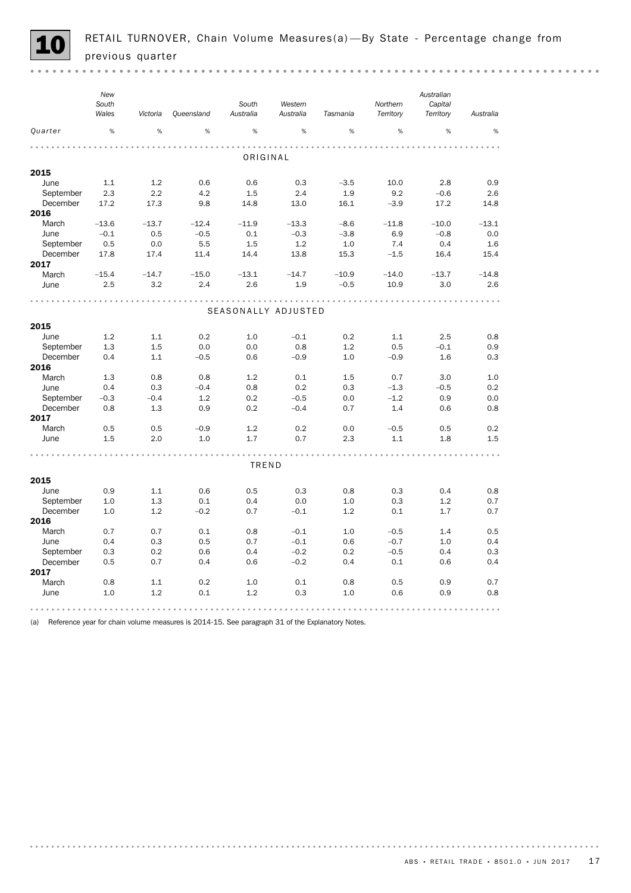

*New Australian South South Western Northern Capital Wales Tasmania Territory Victoria Queensland Australia Australia Territory Australia Quarter* % % % % % % % % % . . . . . . ORIGINAL 2015 June 1.1 1.2 0.6 0.6 0.3 –3.5 10.0 2.8 0.9 September 2.3 2.2 4.2 1.5 2.4 1.9 9.2 –0.6 2.6 December 17.2 17.3 9.8 14.8 13.0 16.1 –3.9 17.2 14.8 2016 March –13.6 –13.7 –12.4 –11.9 –13.3 –8.6 –11.8 –10.0 –13.1 June –0.1 0.5 –0.5 0.1 –0.3 –3.8 6.9 –0.8 0.0 September 0.5 0.0 5.5 1.5 1.2 1.0 7.4 0.4 1.6 December 17.8 17.4 11.4 14.4 13.8 15.3 –1.5 16.4 15.4 2017 March –15.4 –14.7 –15.0 –13.1 –14.7 –10.9 –14.0 –13.7 –14.8 June 2.5 3.2 2.4 2.6 1.9 –0.5 10.9 3.0 2.6 SEASONALLY ADJUSTED 2015 June 1.2 1.1 0.2 1.0 –0.1 0.2 1.1 2.5 0.8 September 1.3 1.5 0.0 0.0 0.8 1.2 0.5 –0.1 0.9 December 0.4 1.1 –0.5 0.6 –0.9 1.0 –0.9 1.6 0.3 2016 March 1.3 0.8 0.8 1.2 0.1 1.5 0.7 3.0 1.0 June 0.4 0.3 –0.4 0.8 0.2 0.3 –1.3 –0.5 0.2 September –0.3 –0.4 1.2 0.2 –0.5 0.0 –1.2 0.9 0.0 December 0.8 1.3 0.9 0.2 –0.4 0.7 1.4 0.6 0.8 2017 March 0.5 0.5 –0.9 1.2 0.2 0.0 –0.5 0.5 0.2 June 1.5 2.0 1.0 1.7 0.7 2.3 1.1 1.8 1.5 . . . . . . . . . . . . . <u>. . . . . . . . . .</u> . . . . . . . . . . . . . . . . . . . . . . . . . . . . . . . . . . . . . . . . . . . . . . . . . . . . . . . . . . . . . . . . . TREND 2015 June 0.9 1.1 0.6 0.5 0.3 0.8 0.3 0.4 0.8 September 1.0 1.3 0.1 0.4 0.0 1.0 0.3 1.2 0.7 December 1.0 1.2 –0.2 0.7 –0.1 1.2 0.1 1.7 0.7 2016 March 0.7 0.7 0.1 0.8 –0.1 1.0 –0.5 1.4 0.5 June 0.4 0.3 0.5 0.7 –0.1 0.6 –0.7 1.0 0.4 September 0.3 0.2 0.6 0.4 –0.2 0.2 –0.5 0.4 0.3 December 0.5 0.7 0.4 0.6 –0.2 0.4 0.1 0.6 0.4 2017 March 0.8 1.1 0.2 1.0 0.1 0.8 0.5 0.9 0.7 June 1.0 1.2 0.1 1.2 0.3 1.0 0.6 0.9 0.8 

(a) Reference year for chain volume measures is 2014-15. See paragraph 31 of the Explanatory Notes.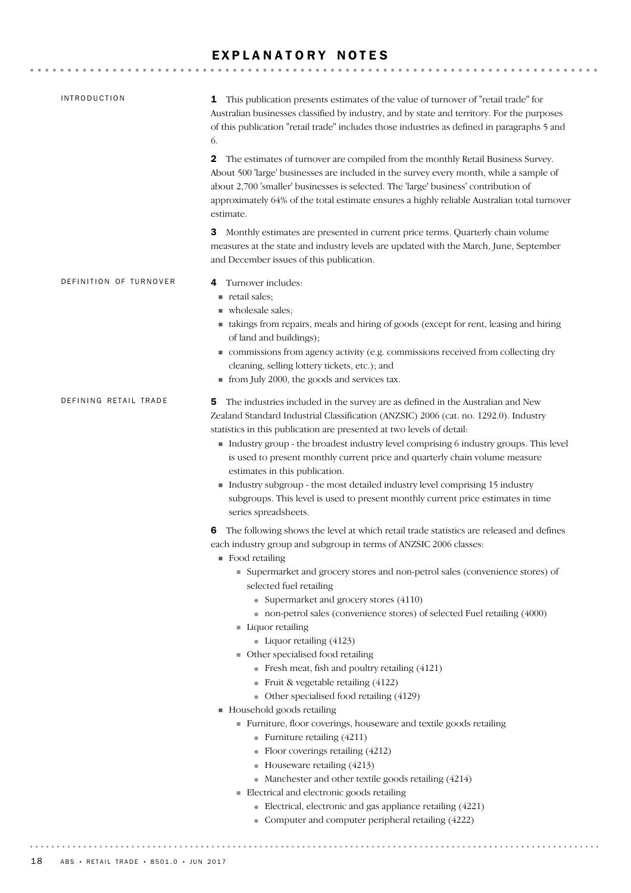# EXPLANATORY NOTES

| <b>INTRODUCTION</b>    | This publication presents estimates of the value of turnover of "retail trade" for<br>1<br>Australian businesses classified by industry, and by state and territory. For the purposes<br>of this publication "retail trade" includes those industries as defined in paragraphs 5 and<br>6.                                                                                                                                                                                                                                                                                                                                                                                                                                                                                                                                                                                                                                                                                                                                                                                                                        |
|------------------------|-------------------------------------------------------------------------------------------------------------------------------------------------------------------------------------------------------------------------------------------------------------------------------------------------------------------------------------------------------------------------------------------------------------------------------------------------------------------------------------------------------------------------------------------------------------------------------------------------------------------------------------------------------------------------------------------------------------------------------------------------------------------------------------------------------------------------------------------------------------------------------------------------------------------------------------------------------------------------------------------------------------------------------------------------------------------------------------------------------------------|
|                        | 2<br>The estimates of turnover are compiled from the monthly Retail Business Survey.<br>About 500 'large' businesses are included in the survey every month, while a sample of<br>about 2,700 'smaller' businesses is selected. The 'large' business' contribution of<br>approximately 64% of the total estimate ensures a highly reliable Australian total turnover<br>estimate.                                                                                                                                                                                                                                                                                                                                                                                                                                                                                                                                                                                                                                                                                                                                 |
|                        | 3<br>Monthly estimates are presented in current price terms. Quarterly chain volume<br>measures at the state and industry levels are updated with the March, June, September<br>and December issues of this publication.                                                                                                                                                                                                                                                                                                                                                                                                                                                                                                                                                                                                                                                                                                                                                                                                                                                                                          |
| DEFINITION OF TURNOVER | Turnover includes:<br>4<br>retail sales;<br>wholesale sales;<br>• takings from repairs, meals and hiring of goods (except for rent, leasing and hiring<br>of land and buildings);<br>commissions from agency activity (e.g. commissions received from collecting dry<br>cleaning, selling lottery tickets, etc.); and<br>from July 2000, the goods and services tax.                                                                                                                                                                                                                                                                                                                                                                                                                                                                                                                                                                                                                                                                                                                                              |
| DEFINING RETAIL TRADE  | The industries included in the survey are as defined in the Australian and New<br>5<br>Zealand Standard Industrial Classification (ANZSIC) 2006 (cat. no. 1292.0). Industry<br>statistics in this publication are presented at two levels of detail:<br>Industry group - the broadest industry level comprising 6 industry groups. This level<br>is used to present monthly current price and quarterly chain volume measure<br>estimates in this publication.<br>Industry subgroup - the most detailed industry level comprising 15 industry<br>subgroups. This level is used to present monthly current price estimates in time<br>series spreadsheets.                                                                                                                                                                                                                                                                                                                                                                                                                                                         |
|                        | The following shows the level at which retail trade statistics are released and defines<br>6<br>each industry group and subgroup in terms of ANZSIC 2006 classes:<br>$\blacksquare$ Food retailing<br>• Supermarket and grocery stores and non-petrol sales (convenience stores) of<br>selected fuel retailing<br>• Supermarket and grocery stores (4110)<br>• non-petrol sales (convenience stores) of selected Fuel retailing (4000)<br>Liquor retailing<br>• Liquor retailing $(4123)$<br>• Other specialised food retailing<br>• Fresh meat, fish and poultry retailing (4121)<br>• Fruit & vegetable retailing $(4122)$<br>• Other specialised food retailing (4129)<br>Household goods retailing<br>Furniture, floor coverings, houseware and textile goods retailing<br>• Furniture retailing $(4211)$<br>• Floor coverings retailing (4212)<br>• Houseware retailing $(4213)$<br>• Manchester and other textile goods retailing (4214)<br>Electrical and electronic goods retailing<br>• Electrical, electronic and gas appliance retailing (4221)<br>• Computer and computer peripheral retailing (4222) |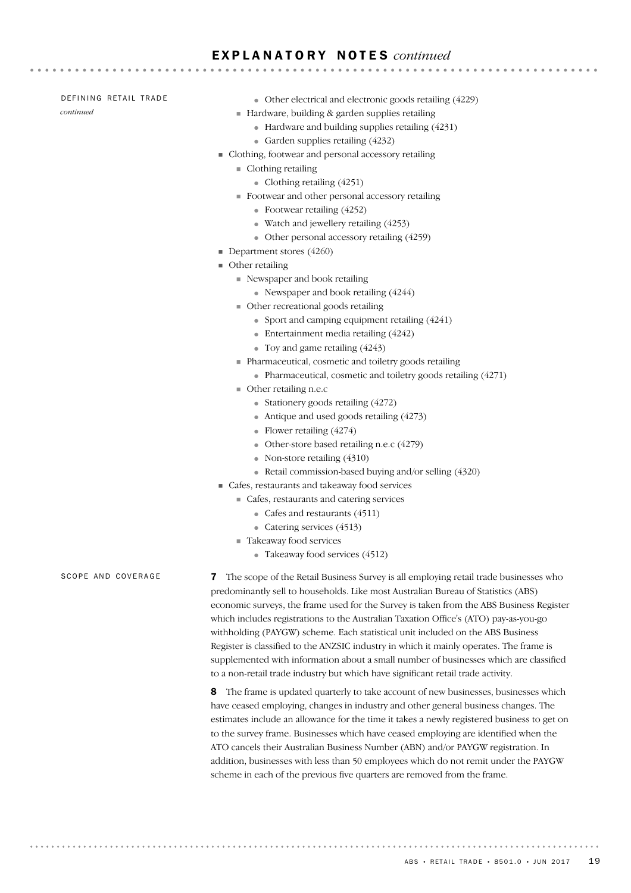#### DEFINING RETAIL TRADE

*continued*

- Other electrical and electronic goods retailing (4229)
- ! Hardware, building & garden supplies retailing

- Hardware and building supplies retailing (4231)
- Garden supplies retailing (4232)
- ! Clothing, footwear and personal accessory retailing
	- $\blacksquare$  Clothing retailing
		- Clothing retailing  $(4251)$
	- ! Footwear and other personal accessory retailing
		- Footwear retailing (4252)
		- Watch and jewellery retailing (4253)
		- Other personal accessory retailing (4259)
- **Department stores (4260)**
- $\blacksquare$  Other retailing
	- ! Newspaper and book retailing
		- Newspaper and book retailing (4244)
	- ! Other recreational goods retailing
		- Sport and camping equipment retailing (4241)
		- Entertainment media retailing (4242)
		- Toy and game retailing (4243)
	- ! Pharmaceutical, cosmetic and toiletry goods retailing
		- Pharmaceutical, cosmetic and toiletry goods retailing (4271)
	- ! Other retailing n.e.c
		- Stationery goods retailing  $(4272)$
		- Antique and used goods retailing  $(4273)$
		- Flower retailing (4274)
		- Other-store based retailing n.e.c (4279)
		- Non-store retailing (4310)
		- Retail commission-based buying and/or selling (4320)
- ! Cafes, restaurants and takeaway food services
	- ! Cafes, restaurants and catering services
		- Cafes and restaurants (4511)
		- Catering services (4513)
	- Takeaway food services
		- Takeaway food services (4512)

SCOPE AND COVERAGE

7 The scope of the Retail Business Survey is all employing retail trade businesses who predominantly sell to households. Like most Australian Bureau of Statistics (ABS) economic surveys, the frame used for the Survey is taken from the ABS Business Register which includes registrations to the Australian Taxation Office's (ATO) pay-as-you-go withholding (PAYGW) scheme. Each statistical unit included on the ABS Business Register is classified to the ANZSIC industry in which it mainly operates. The frame is supplemented with information about a small number of businesses which are classified to a non-retail trade industry but which have significant retail trade activity.

8 The frame is updated quarterly to take account of new businesses, businesses which have ceased employing, changes in industry and other general business changes. The estimates include an allowance for the time it takes a newly registered business to get on to the survey frame. Businesses which have ceased employing are identified when the ATO cancels their Australian Business Number (ABN) and/or PAYGW registration. In addition, businesses with less than 50 employees which do not remit under the PAYGW scheme in each of the previous five quarters are removed from the frame.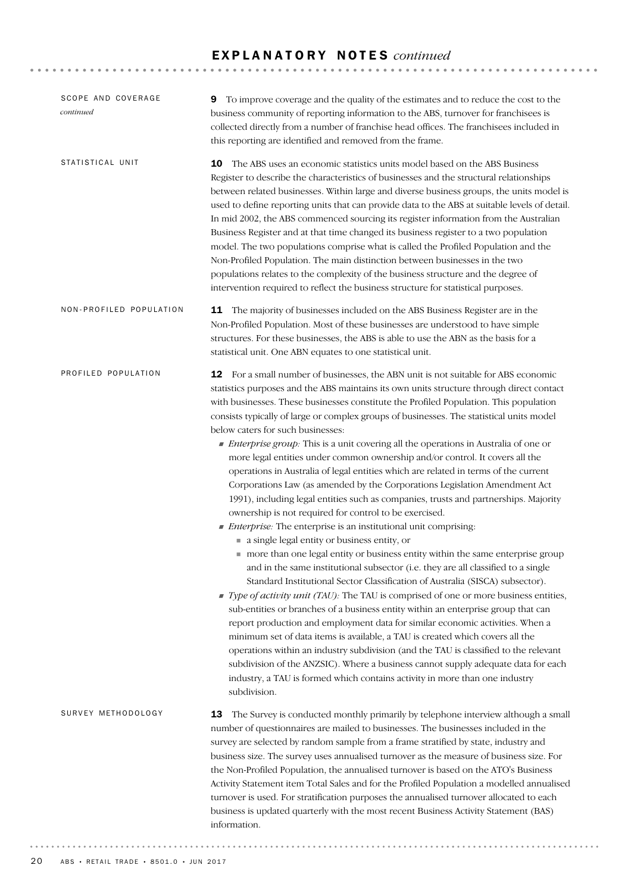| SCOPE AND COVERAGE<br>continued | To improve coverage and the quality of the estimates and to reduce the cost to the<br>9<br>business community of reporting information to the ABS, turnover for franchisees is<br>collected directly from a number of franchise head offices. The franchisees included in<br>this reporting are identified and removed from the frame.                                                                                                                                                                                                                                                                                                                                                                                                                                                                                                                                                                                                                                                                                                                                                                                                                                                                                                                                                                                                                                                                                                                                                                                                                                                                                                                                                                                                                                                                                                                                                                               |  |  |
|---------------------------------|----------------------------------------------------------------------------------------------------------------------------------------------------------------------------------------------------------------------------------------------------------------------------------------------------------------------------------------------------------------------------------------------------------------------------------------------------------------------------------------------------------------------------------------------------------------------------------------------------------------------------------------------------------------------------------------------------------------------------------------------------------------------------------------------------------------------------------------------------------------------------------------------------------------------------------------------------------------------------------------------------------------------------------------------------------------------------------------------------------------------------------------------------------------------------------------------------------------------------------------------------------------------------------------------------------------------------------------------------------------------------------------------------------------------------------------------------------------------------------------------------------------------------------------------------------------------------------------------------------------------------------------------------------------------------------------------------------------------------------------------------------------------------------------------------------------------------------------------------------------------------------------------------------------------|--|--|
| STATISTICAL UNIT                | 10<br>The ABS uses an economic statistics units model based on the ABS Business<br>Register to describe the characteristics of businesses and the structural relationships<br>between related businesses. Within large and diverse business groups, the units model is<br>used to define reporting units that can provide data to the ABS at suitable levels of detail.<br>In mid 2002, the ABS commenced sourcing its register information from the Australian<br>Business Register and at that time changed its business register to a two population<br>model. The two populations comprise what is called the Profiled Population and the<br>Non-Profiled Population. The main distinction between businesses in the two<br>populations relates to the complexity of the business structure and the degree of<br>intervention required to reflect the business structure for statistical purposes.                                                                                                                                                                                                                                                                                                                                                                                                                                                                                                                                                                                                                                                                                                                                                                                                                                                                                                                                                                                                               |  |  |
| NON-PROFILED POPULATION         | 11 The majority of businesses included on the ABS Business Register are in the<br>Non-Profiled Population. Most of these businesses are understood to have simple<br>structures. For these businesses, the ABS is able to use the ABN as the basis for a<br>statistical unit. One ABN equates to one statistical unit.                                                                                                                                                                                                                                                                                                                                                                                                                                                                                                                                                                                                                                                                                                                                                                                                                                                                                                                                                                                                                                                                                                                                                                                                                                                                                                                                                                                                                                                                                                                                                                                               |  |  |
| PROFILED POPULATION             | 12 For a small number of businesses, the ABN unit is not suitable for ABS economic<br>statistics purposes and the ABS maintains its own units structure through direct contact<br>with businesses. These businesses constitute the Profiled Population. This population<br>consists typically of large or complex groups of businesses. The statistical units model<br>below caters for such businesses:<br>• Enterprise group: This is a unit covering all the operations in Australia of one or<br>more legal entities under common ownership and/or control. It covers all the<br>operations in Australia of legal entities which are related in terms of the current<br>Corporations Law (as amended by the Corporations Legislation Amendment Act<br>1991), including legal entities such as companies, trusts and partnerships. Majority<br>ownership is not required for control to be exercised.<br><i>Enterprise:</i> The enterprise is an institutional unit comprising:<br>a single legal entity or business entity, or<br>more than one legal entity or business entity within the same enterprise group<br>and in the same institutional subsector (i.e. they are all classified to a single<br>Standard Institutional Sector Classification of Australia (SISCA) subsector).<br>Type of activity unit (TAU): The TAU is comprised of one or more business entities,<br>sub-entities or branches of a business entity within an enterprise group that can<br>report production and employment data for similar economic activities. When a<br>minimum set of data items is available, a TAU is created which covers all the<br>operations within an industry subdivision (and the TAU is classified to the relevant<br>subdivision of the ANZSIC). Where a business cannot supply adequate data for each<br>industry, a TAU is formed which contains activity in more than one industry<br>subdivision. |  |  |
| SURVEY METHODOLOGY              | The Survey is conducted monthly primarily by telephone interview although a small<br>13<br>number of questionnaires are mailed to businesses. The businesses included in the<br>survey are selected by random sample from a frame stratified by state, industry and<br>business size. The survey uses annualised turnover as the measure of business size. For<br>the Non-Profiled Population, the annualised turnover is based on the ATO's Business<br>Activity Statement item Total Sales and for the Profiled Population a modelled annualised<br>turnover is used. For stratification purposes the annualised turnover allocated to each<br>business is updated quarterly with the most recent Business Activity Statement (BAS)<br>information.                                                                                                                                                                                                                                                                                                                                                                                                                                                                                                                                                                                                                                                                                                                                                                                                                                                                                                                                                                                                                                                                                                                                                                |  |  |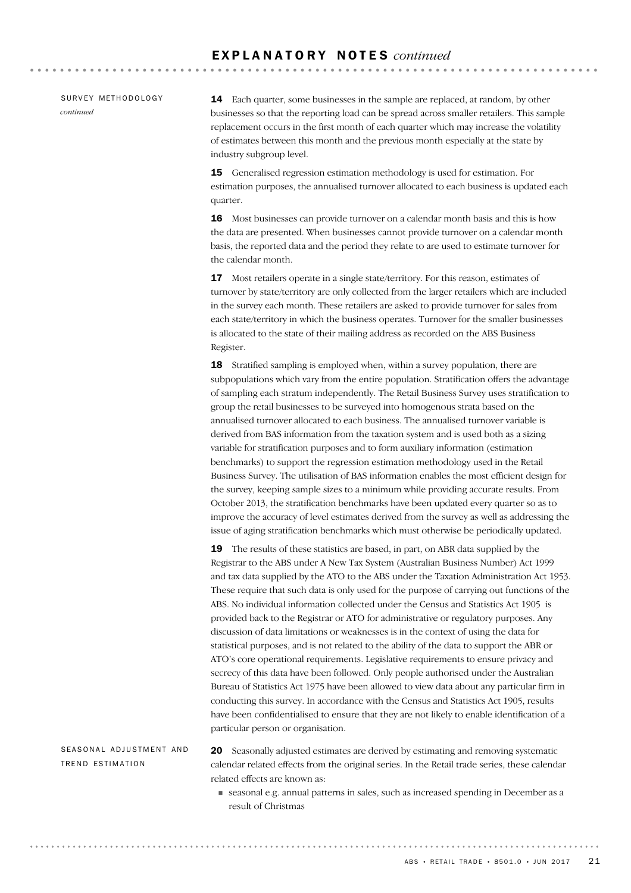SURVEY METHODOLOGY *continued*

14 Each quarter, some businesses in the sample are replaced, at random, by other businesses so that the reporting load can be spread across smaller retailers. This sample replacement occurs in the first month of each quarter which may increase the volatility of estimates between this month and the previous month especially at the state by industry subgroup level.

15 Generalised regression estimation methodology is used for estimation. For estimation purposes, the annualised turnover allocated to each business is updated each quarter.

16 Most businesses can provide turnover on a calendar month basis and this is how the data are presented. When businesses cannot provide turnover on a calendar month basis, the reported data and the period they relate to are used to estimate turnover for the calendar month.

17 Most retailers operate in a single state/territory. For this reason, estimates of turnover by state/territory are only collected from the larger retailers which are included in the survey each month. These retailers are asked to provide turnover for sales from each state/territory in which the business operates. Turnover for the smaller businesses is allocated to the state of their mailing address as recorded on the ABS Business Register.

18 Stratified sampling is employed when, within a survey population, there are subpopulations which vary from the entire population. Stratification offers the advantage of sampling each stratum independently. The Retail Business Survey uses stratification to group the retail businesses to be surveyed into homogenous strata based on the annualised turnover allocated to each business. The annualised turnover variable is derived from BAS information from the taxation system and is used both as a sizing variable for stratification purposes and to form auxiliary information (estimation benchmarks) to support the regression estimation methodology used in the Retail Business Survey. The utilisation of BAS information enables the most efficient design for the survey, keeping sample sizes to a minimum while providing accurate results. From October 2013, the stratification benchmarks have been updated every quarter so as to improve the accuracy of level estimates derived from the survey as well as addressing the issue of aging stratification benchmarks which must otherwise be periodically updated.

19 The results of these statistics are based, in part, on ABR data supplied by the Registrar to the ABS under A New Tax System (Australian Business Number) Act 1999 and tax data supplied by the ATO to the ABS under the Taxation Administration Act 1953. These require that such data is only used for the purpose of carrying out functions of the ABS. No individual information collected under the Census and Statistics Act 1905 is provided back to the Registrar or ATO for administrative or regulatory purposes. Any discussion of data limitations or weaknesses is in the context of using the data for statistical purposes, and is not related to the ability of the data to support the ABR or ATO's core operational requirements. Legislative requirements to ensure privacy and secrecy of this data have been followed. Only people authorised under the Australian Bureau of Statistics Act 1975 have been allowed to view data about any particular firm in conducting this survey. In accordance with the Census and Statistics Act 1905, results have been confidentialised to ensure that they are not likely to enable identification of a particular person or organisation.

SEASONAL ADJUSTMENT AND TREND ESTIMATION

20 Seasonally adjusted estimates are derived by estimating and removing systematic calendar related effects from the original series. In the Retail trade series, these calendar related effects are known as:

! seasonal e.g. annual patterns in sales, such as increased spending in December as a result of Christmas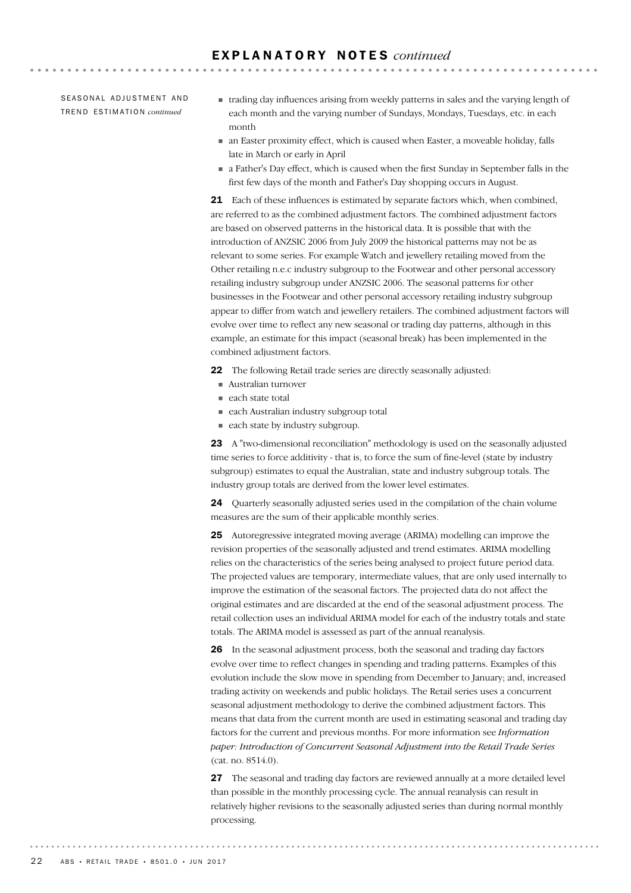SEASONAL ADJUSTMENT AND TR E N D ES T I M A T I O N *continued*

! trading day influences arising from weekly patterns in sales and the varying length of each month and the varying number of Sundays, Mondays, Tuesdays, etc. in each month

**\*\*\*\*\*\*\*\*\*\*\*\*\*\*\*\*\***\*

- ! an Easter proximity effect, which is caused when Easter, a moveable holiday, falls late in March or early in April
- ! a Father's Day effect, which is caused when the first Sunday in September falls in the first few days of the month and Father's Day shopping occurs in August.

21 Each of these influences is estimated by separate factors which, when combined, are referred to as the combined adjustment factors. The combined adjustment factors are based on observed patterns in the historical data. It is possible that with the introduction of ANZSIC 2006 from July 2009 the historical patterns may not be as relevant to some series. For example Watch and jewellery retailing moved from the Other retailing n.e.c industry subgroup to the Footwear and other personal accessory retailing industry subgroup under ANZSIC 2006. The seasonal patterns for other businesses in the Footwear and other personal accessory retailing industry subgroup appear to differ from watch and jewellery retailers. The combined adjustment factors will evolve over time to reflect any new seasonal or trading day patterns, although in this example, an estimate for this impact (seasonal break) has been implemented in the combined adjustment factors.

- 22 The following Retail trade series are directly seasonally adjusted:
- ! Australian turnover
- each state total
- ! each Australian industry subgroup total
- each state by industry subgroup.

23 A "two-dimensional reconciliation" methodology is used on the seasonally adjusted time series to force additivity - that is, to force the sum of fine-level (state by industry subgroup) estimates to equal the Australian, state and industry subgroup totals. The industry group totals are derived from the lower level estimates.

24 Quarterly seasonally adjusted series used in the compilation of the chain volume measures are the sum of their applicable monthly series.

25 Autoregressive integrated moving average (ARIMA) modelling can improve the revision properties of the seasonally adjusted and trend estimates. ARIMA modelling relies on the characteristics of the series being analysed to project future period data. The projected values are temporary, intermediate values, that are only used internally to improve the estimation of the seasonal factors. The projected data do not affect the original estimates and are discarded at the end of the seasonal adjustment process. The retail collection uses an individual ARIMA model for each of the industry totals and state totals. The ARIMA model is assessed as part of the annual reanalysis.

26 In the seasonal adjustment process, both the seasonal and trading day factors evolve over time to reflect changes in spending and trading patterns. Examples of this evolution include the slow move in spending from December to January; and, increased trading activity on weekends and public holidays. The Retail series uses a concurrent seasonal adjustment methodology to derive the combined adjustment factors. This means that data from the current month are used in estimating seasonal and trading day factors for the current and previous months. For more information see *Information paper: Introduction of Concurrent Seasonal Adjustment into the Retail Trade Series* (cat. no. 8514.0).

27 The seasonal and trading day factors are reviewed annually at a more detailed level than possible in the monthly processing cycle. The annual reanalysis can result in relatively higher revisions to the seasonally adjusted series than during normal monthly processing.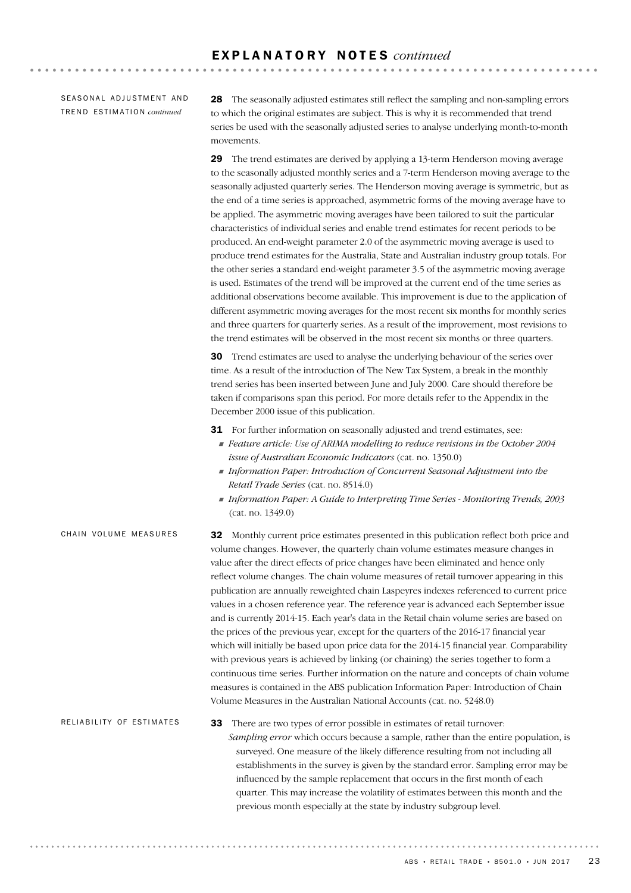SEASONAL ADJUSTMENT AND TR E N D ES T I M A T I O N *continued*

28 The seasonally adjusted estimates still reflect the sampling and non-sampling errors to which the original estimates are subject. This is why it is recommended that trend series be used with the seasonally adjusted series to analyse underlying month-to-month movements.

29 The trend estimates are derived by applying a 13-term Henderson moving average to the seasonally adjusted monthly series and a 7-term Henderson moving average to the seasonally adjusted quarterly series. The Henderson moving average is symmetric, but as the end of a time series is approached, asymmetric forms of the moving average have to be applied. The asymmetric moving averages have been tailored to suit the particular characteristics of individual series and enable trend estimates for recent periods to be produced. An end-weight parameter 2.0 of the asymmetric moving average is used to produce trend estimates for the Australia, State and Australian industry group totals. For the other series a standard end-weight parameter 3.5 of the asymmetric moving average is used. Estimates of the trend will be improved at the current end of the time series as additional observations become available. This improvement is due to the application of different asymmetric moving averages for the most recent six months for monthly series and three quarters for quarterly series. As a result of the improvement, most revisions to the trend estimates will be observed in the most recent six months or three quarters.

30 Trend estimates are used to analyse the underlying behaviour of the series over time. As a result of the introduction of The New Tax System, a break in the monthly trend series has been inserted between June and July 2000. Care should therefore be taken if comparisons span this period. For more details refer to the Appendix in the December 2000 issue of this publication.

31 For further information on seasonally adjusted and trend estimates, see:

- ! *Feature article: Use of ARIMA modelling to reduce revisions in the October 2004 issue of Australian Economic Indicators* (cat. no. 1350.0)
- ! *Information Paper: Introduction of Concurrent Seasonal Adjustment into the Retail Trade Series* (cat. no. 8514.0)
- ! *Information Paper: A Guide to Interpreting Time Series Monitoring Trends, 2003* (cat. no. 1349.0)

32 Monthly current price estimates presented in this publication reflect both price and volume changes. However, the quarterly chain volume estimates measure changes in value after the direct effects of price changes have been eliminated and hence only reflect volume changes. The chain volume measures of retail turnover appearing in this publication are annually reweighted chain Laspeyres indexes referenced to current price values in a chosen reference year. The reference year is advanced each September issue and is currently 2014-15. Each year's data in the Retail chain volume series are based on the prices of the previous year, except for the quarters of the 2016-17 financial year which will initially be based upon price data for the 2014-15 financial year. Comparability with previous years is achieved by linking (or chaining) the series together to form a continuous time series. Further information on the nature and concepts of chain volume measures is contained in the ABS publication Information Paper: Introduction of Chain Volume Measures in the Australian National Accounts (cat. no. 5248.0) CHAIN VOLUME MEASURES

33 There are two types of error possible in estimates of retail turnover: *Sampling error* which occurs because a sample, rather than the entire population, is surveyed. One measure of the likely difference resulting from not including all establishments in the survey is given by the standard error. Sampling error may be influenced by the sample replacement that occurs in the first month of each quarter. This may increase the volatility of estimates between this month and the previous month especially at the state by industry subgroup level. RELIABILITY OF ESTIMATES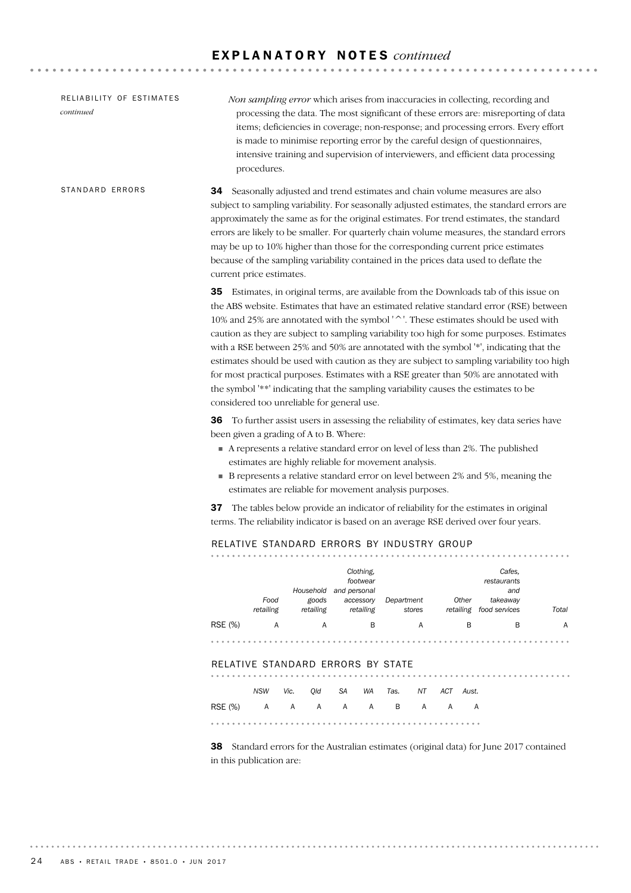| RELIABILITY OF ESTIMATES<br>continued | Non sampling error which arises from inaccuracies in collecting, recording and<br>processing the data. The most significant of these errors are: misreporting of data<br>items; deficiencies in coverage; non-response; and processing errors. Every effort<br>is made to minimise reporting error by the careful design of questionnaires,<br>intensive training and supervision of interviewers, and efficient data processing<br>procedures.                                                                                                                                                                                                                                                                                                                                                  |  |  |
|---------------------------------------|--------------------------------------------------------------------------------------------------------------------------------------------------------------------------------------------------------------------------------------------------------------------------------------------------------------------------------------------------------------------------------------------------------------------------------------------------------------------------------------------------------------------------------------------------------------------------------------------------------------------------------------------------------------------------------------------------------------------------------------------------------------------------------------------------|--|--|
| STANDARD ERRORS                       | Seasonally adjusted and trend estimates and chain volume measures are also<br>34<br>subject to sampling variability. For seasonally adjusted estimates, the standard errors are<br>approximately the same as for the original estimates. For trend estimates, the standard<br>errors are likely to be smaller. For quarterly chain volume measures, the standard errors<br>may be up to 10% higher than those for the corresponding current price estimates<br>because of the sampling variability contained in the prices data used to deflate the<br>current price estimates.                                                                                                                                                                                                                  |  |  |
|                                       | <b>35</b> Estimates, in original terms, are available from the Downloads tab of this issue on<br>the ABS website. Estimates that have an estimated relative standard error (RSE) between<br>10% and 25% are annotated with the symbol '^'. These estimates should be used with<br>caution as they are subject to sampling variability too high for some purposes. Estimates<br>with a RSE between 25% and 50% are annotated with the symbol '*', indicating that the<br>estimates should be used with caution as they are subject to sampling variability too high<br>for most practical purposes. Estimates with a RSE greater than 50% are annotated with<br>the symbol '**' indicating that the sampling variability causes the estimates to be<br>considered too unreliable for general use. |  |  |
|                                       | <b>36</b> To further assist users in assessing the reliability of estimates, key data series have<br>been given a grading of A to B. Where:<br>A represents a relative standard error on level of less than 2%. The published<br>estimates are highly reliable for movement analysis.<br>B represents a relative standard error on level between 2% and 5%, meaning the<br>estimates are reliable for movement analysis purposes.                                                                                                                                                                                                                                                                                                                                                                |  |  |
|                                       | 37 The tables below provide an indicator of reliability for the estimates in original<br>terms. The reliability indicator is based on an average RSE derived over four years.                                                                                                                                                                                                                                                                                                                                                                                                                                                                                                                                                                                                                    |  |  |
|                                       | RELATIVE STANDARD ERRORS BY INDUSTRY GROUP                                                                                                                                                                                                                                                                                                                                                                                                                                                                                                                                                                                                                                                                                                                                                       |  |  |
|                                       | Clothing,<br>Cafes,<br>footwear<br>restaurants<br>Household and personal<br>and<br>Food<br>Other<br>goods<br>accessory<br>Department<br>takeaway<br>retailing<br>retailing<br>retailing<br>stores<br>retailing food services<br>Total                                                                                                                                                                                                                                                                                                                                                                                                                                                                                                                                                            |  |  |
|                                       | RSE (%)<br>В<br>В<br>В<br>A<br>A<br>A<br>A                                                                                                                                                                                                                                                                                                                                                                                                                                                                                                                                                                                                                                                                                                                                                       |  |  |
|                                       |                                                                                                                                                                                                                                                                                                                                                                                                                                                                                                                                                                                                                                                                                                                                                                                                  |  |  |
|                                       | RELATIVE STANDARD ERRORS BY STATE                                                                                                                                                                                                                                                                                                                                                                                                                                                                                                                                                                                                                                                                                                                                                                |  |  |
|                                       | NSW<br>WA Tas.<br>ACT Aust.<br>Vic.<br>Qld<br>SA<br>NT                                                                                                                                                                                                                                                                                                                                                                                                                                                                                                                                                                                                                                                                                                                                           |  |  |
|                                       | <b>RSE</b> (%)<br>A A A A A<br>$\overline{B}$<br>A<br>A A                                                                                                                                                                                                                                                                                                                                                                                                                                                                                                                                                                                                                                                                                                                                        |  |  |
|                                       |                                                                                                                                                                                                                                                                                                                                                                                                                                                                                                                                                                                                                                                                                                                                                                                                  |  |  |
|                                       | <b>38</b> Standard errors for the Australian estimates (original data) for June 2017 contained<br>in this publication are:                                                                                                                                                                                                                                                                                                                                                                                                                                                                                                                                                                                                                                                                       |  |  |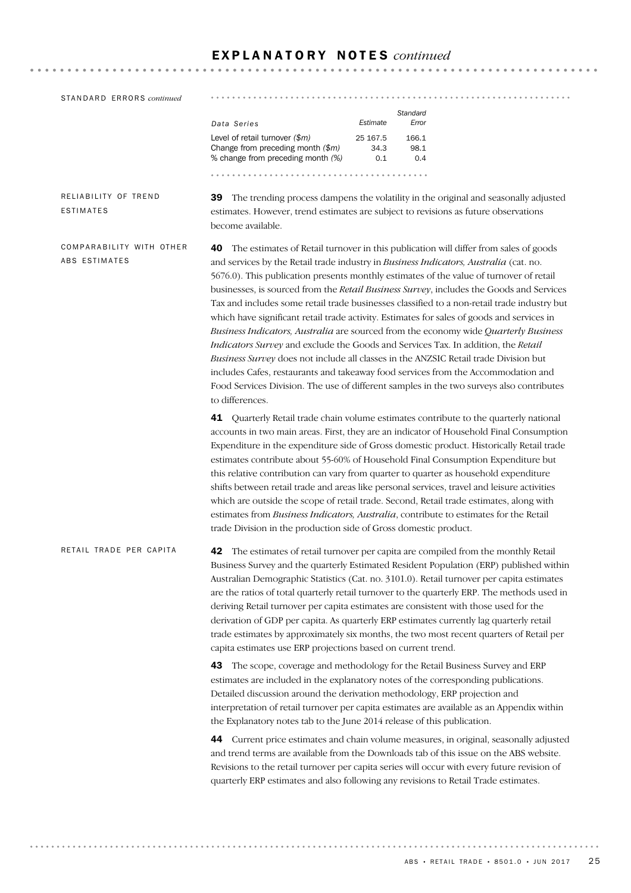| STANDARD ERRORS continued                 |                                                                                                                                                                                                                                                                                                                                                                                                                                                                                                                                                                                                                                                                                                                                                                                                                                                                                                                                                                                                                                                | .<br>.                                                                                                                                                                                                                                                                                                                                                                                                                                                                                                                                                                                                                                                                                                                                   |  |
|-------------------------------------------|------------------------------------------------------------------------------------------------------------------------------------------------------------------------------------------------------------------------------------------------------------------------------------------------------------------------------------------------------------------------------------------------------------------------------------------------------------------------------------------------------------------------------------------------------------------------------------------------------------------------------------------------------------------------------------------------------------------------------------------------------------------------------------------------------------------------------------------------------------------------------------------------------------------------------------------------------------------------------------------------------------------------------------------------|------------------------------------------------------------------------------------------------------------------------------------------------------------------------------------------------------------------------------------------------------------------------------------------------------------------------------------------------------------------------------------------------------------------------------------------------------------------------------------------------------------------------------------------------------------------------------------------------------------------------------------------------------------------------------------------------------------------------------------------|--|
|                                           | Data Series<br>Level of retail turnover $(\$m)$<br>Change from preceding month (\$m)<br>% change from preceding month (%)                                                                                                                                                                                                                                                                                                                                                                                                                                                                                                                                                                                                                                                                                                                                                                                                                                                                                                                      | Standard<br>Estimate<br>Error<br>25 167.5<br>166.1<br>34.3<br>98.1<br>0.1<br>0.4                                                                                                                                                                                                                                                                                                                                                                                                                                                                                                                                                                                                                                                         |  |
|                                           |                                                                                                                                                                                                                                                                                                                                                                                                                                                                                                                                                                                                                                                                                                                                                                                                                                                                                                                                                                                                                                                |                                                                                                                                                                                                                                                                                                                                                                                                                                                                                                                                                                                                                                                                                                                                          |  |
| RELIABILITY OF TREND<br>ESTIMATES         | become available.                                                                                                                                                                                                                                                                                                                                                                                                                                                                                                                                                                                                                                                                                                                                                                                                                                                                                                                                                                                                                              | 39 The trending process dampens the volatility in the original and seasonally adjusted<br>estimates. However, trend estimates are subject to revisions as future observations                                                                                                                                                                                                                                                                                                                                                                                                                                                                                                                                                            |  |
| COMPARABILITY WITH OTHER<br>ABS ESTIMATES | The estimates of Retail turnover in this publication will differ from sales of goods<br>40<br>and services by the Retail trade industry in Business Indicators, Australia (cat. no.<br>5676.0). This publication presents monthly estimates of the value of turnover of retail<br>businesses, is sourced from the Retail Business Survey, includes the Goods and Services<br>Tax and includes some retail trade businesses classified to a non-retail trade industry but<br>which have significant retail trade activity. Estimates for sales of goods and services in<br>Business Indicators, Australia are sourced from the economy wide Quarterly Business<br>Indicators Survey and exclude the Goods and Services Tax. In addition, the Retail<br>Business Survey does not include all classes in the ANZSIC Retail trade Division but<br>includes Cafes, restaurants and takeaway food services from the Accommodation and<br>Food Services Division. The use of different samples in the two surveys also contributes<br>to differences. |                                                                                                                                                                                                                                                                                                                                                                                                                                                                                                                                                                                                                                                                                                                                          |  |
|                                           | 41<br>trade Division in the production side of Gross domestic product.                                                                                                                                                                                                                                                                                                                                                                                                                                                                                                                                                                                                                                                                                                                                                                                                                                                                                                                                                                         | Quarterly Retail trade chain volume estimates contribute to the quarterly national<br>accounts in two main areas. First, they are an indicator of Household Final Consumption<br>Expenditure in the expenditure side of Gross domestic product. Historically Retail trade<br>estimates contribute about 55-60% of Household Final Consumption Expenditure but<br>this relative contribution can vary from quarter to quarter as household expenditure<br>shifts between retail trade and areas like personal services, travel and leisure activities<br>which are outside the scope of retail trade. Second, Retail trade estimates, along with<br>estimates from Business Indicators, Australia, contribute to estimates for the Retail |  |
| RETAIL TRADE PER CAPITA                   | The estimates of retail turnover per capita are compiled from the monthly Retail<br>42<br>Business Survey and the quarterly Estimated Resident Population (ERP) published within<br>Australian Demographic Statistics (Cat. no. 3101.0). Retail turnover per capita estimates<br>are the ratios of total quarterly retail turnover to the quarterly ERP. The methods used in<br>deriving Retail turnover per capita estimates are consistent with those used for the<br>derivation of GDP per capita. As quarterly ERP estimates currently lag quarterly retail<br>trade estimates by approximately six months, the two most recent quarters of Retail per<br>capita estimates use ERP projections based on current trend.                                                                                                                                                                                                                                                                                                                     |                                                                                                                                                                                                                                                                                                                                                                                                                                                                                                                                                                                                                                                                                                                                          |  |
|                                           | 43                                                                                                                                                                                                                                                                                                                                                                                                                                                                                                                                                                                                                                                                                                                                                                                                                                                                                                                                                                                                                                             | The scope, coverage and methodology for the Retail Business Survey and ERP<br>estimates are included in the explanatory notes of the corresponding publications.<br>Detailed discussion around the derivation methodology, ERP projection and<br>interpretation of retail turnover per capita estimates are available as an Appendix within<br>the Explanatory notes tab to the June 2014 release of this publication.                                                                                                                                                                                                                                                                                                                   |  |
|                                           |                                                                                                                                                                                                                                                                                                                                                                                                                                                                                                                                                                                                                                                                                                                                                                                                                                                                                                                                                                                                                                                | 44 Current price estimates and chain volume measures, in original, seasonally adjusted<br>and trend terms are available from the Downloads tab of this issue on the ABS website.<br>Revisions to the retail turnover per capita series will occur with every future revision of<br>quarterly ERP estimates and also following any revisions to Retail Trade estimates.                                                                                                                                                                                                                                                                                                                                                                   |  |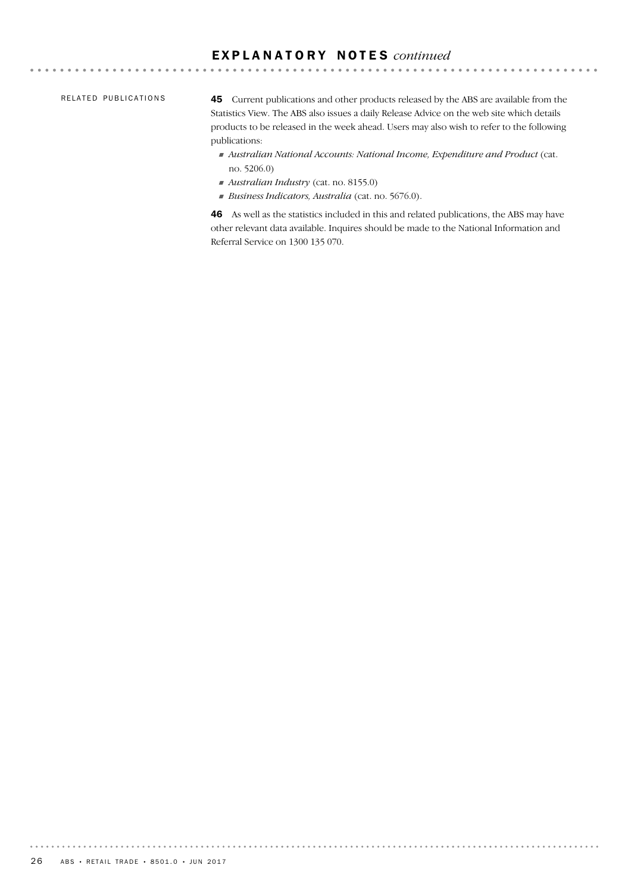#### RELATED PUBLICATIONS

45 Current publications and other products released by the ABS are available from the Statistics View. The ABS also issues a daily Release Advice on the web site which details products to be released in the week ahead. Users may also wish to refer to the following publications:

- ! *Australian National Accounts: National Income, Expenditure and Product* (cat. no. 5206.0)
- ! *Australian Industry* (cat. no. 8155.0)
- ! *Business Indicators, Australia* (cat. no. 5676.0).

46 As well as the statistics included in this and related publications, the ABS may have other relevant data available. Inquires should be made to the National Information and Referral Service on 1300 135 070.

. . . . . . . . .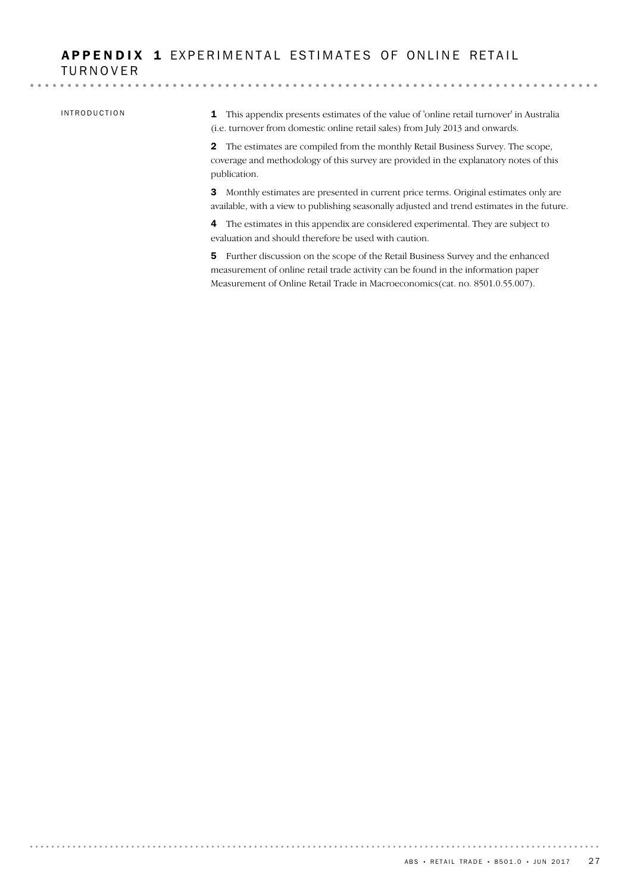### APPENDIX 1 EXPERIMENTAL ESTIMATES OF ONLINE RETAIL TURNOVER

#### INTRODUCTION

1 This appendix presents estimates of the value of 'online retail turnover' in Australia (i.e. turnover from domestic online retail sales) from July 2013 and onwards.

2 The estimates are compiled from the monthly Retail Business Survey. The scope, coverage and methodology of this survey are provided in the explanatory notes of this publication.

3 Monthly estimates are presented in current price terms. Original estimates only are available, with a view to publishing seasonally adjusted and trend estimates in the future.

4 The estimates in this appendix are considered experimental. They are subject to evaluation and should therefore be used with caution.

5 Further discussion on the scope of the Retail Business Survey and the enhanced measurement of online retail trade activity can be found in the information paper Measurement of Online Retail Trade in Macroeconomics(cat. no. 8501.0.55.007).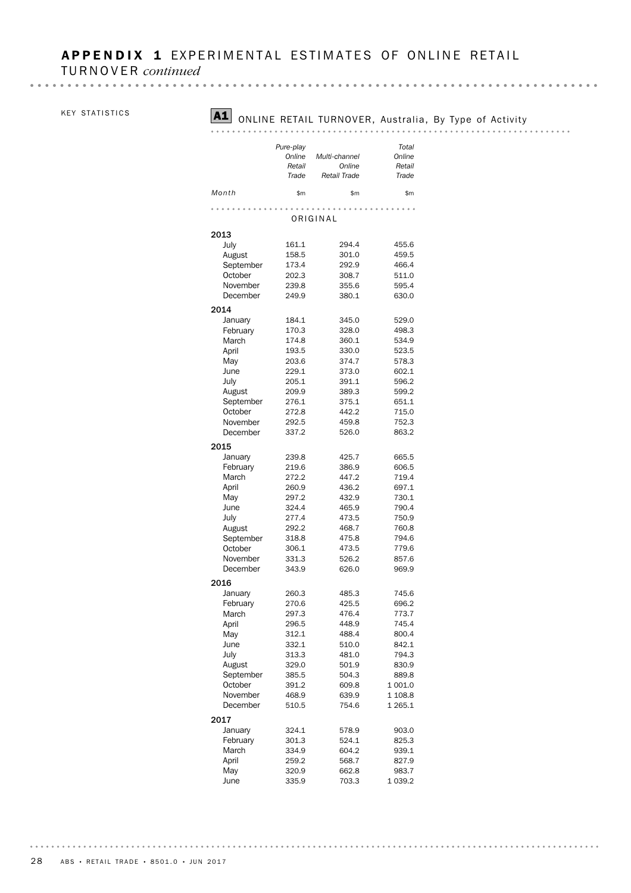# APPENDIX 1 EXPERIMENTAL ESTIMATES OF ONLINE RETAIL

TURNOVER *continued*

#### KEY STATISTICS

# A1 ONLINE RETAIL TURNOVER, Australia, By Type of Activity

#### 

|           | Pure-play |                     | Total   |
|-----------|-----------|---------------------|---------|
|           | Online    | Multi-channel       | Online  |
|           | Retail    | Online              | Retail  |
|           | Trade     | <b>Retail Trade</b> | Trade   |
| Month     | \$m       | \$m                 | \$m     |
|           |           |                     |         |
|           |           | ORIGINAL            |         |
| 2013      |           |                     |         |
| July      | 161.1     | 294.4               | 455.6   |
| August    | 158.5     | 301.0               | 459.5   |
| September | 173.4     | 292.9               | 466.4   |
| October   | 202.3     | 308.7               | 511.0   |
| November  | 239.8     | 355.6               | 595.4   |
| December  | 249.9     | 380.1               | 630.0   |
|           |           |                     |         |
| 2014      |           |                     |         |
| January   | 184.1     | 345.0               | 529.0   |
| February  | 170.3     | 328.0               | 498.3   |
| March     | 174.8     | 360.1               | 534.9   |
| April     | 193.5     | 330.0               | 523.5   |
| May       | 203.6     | 374.7               | 578.3   |
| June      | 229.1     | 373.0               | 602.1   |
| July      | 205.1     | 391.1               | 596.2   |
| August    | 209.9     | 389.3               | 599.2   |
| September | 276.1     | 375.1               | 651.1   |
| October   | 272.8     | 442.2               | 715.0   |
| November  | 292.5     | 459.8               | 752.3   |
| December  | 337.2     | 526.0               | 863.2   |
| 2015      |           |                     |         |
| January   | 239.8     | 425.7               | 665.5   |
| February  | 219.6     | 386.9               | 606.5   |
| March     | 272.2     | 447.2               | 719.4   |
| April     | 260.9     | 436.2               | 697.1   |
| May       | 297.2     | 432.9               | 730.1   |
| June      | 324.4     | 465.9               | 790.4   |
| July      | 277.4     | 473.5               | 750.9   |
| August    | 292.2     | 468.7               | 760.8   |
| September | 318.8     | 475.8               | 794.6   |
| October   | 306.1     | 473.5               | 779.6   |
| November  | 331.3     | 526.2               | 857.6   |
| December  | 343.9     | 626.0               | 969.9   |
|           |           |                     |         |
| 2016      |           |                     |         |
| January   | 260.3     | 485.3               | 745.6   |
| February  | 270.6     | 425.5               | 696.2   |
| March     | 297.3     | 476.4               | 773.7   |
| April     | 296.5     | 448.9               | 745.4   |
| May       | 312.1     | 488.4               | 800.4   |
| June      | 332.1     | 510.0               | 842.1   |
| July      | 313.3     | 481.0               | 794.3   |
| August    | 329.0     | 501.9               | 830.9   |
| September | 385.5     | 504.3               | 889.8   |
| October   | 391.2     | 609.8               | 1 001.0 |
| November  | 468.9     | 639.9               | 1 108.8 |
| December  | 510.5     | 754.6               | 1 265.1 |
| 2017      |           |                     |         |
| January   | 324.1     | 578.9               | 903.0   |
| February  | 301.3     | 524.1               | 825.3   |
| March     | 334.9     | 604.2               | 939.1   |
| April     | 259.2     | 568.7               | 827.9   |
| May       | 320.9     | 662.8               | 983.7   |
| June      | 335.9     | 703.3               | 1 039.2 |
|           |           |                     |         |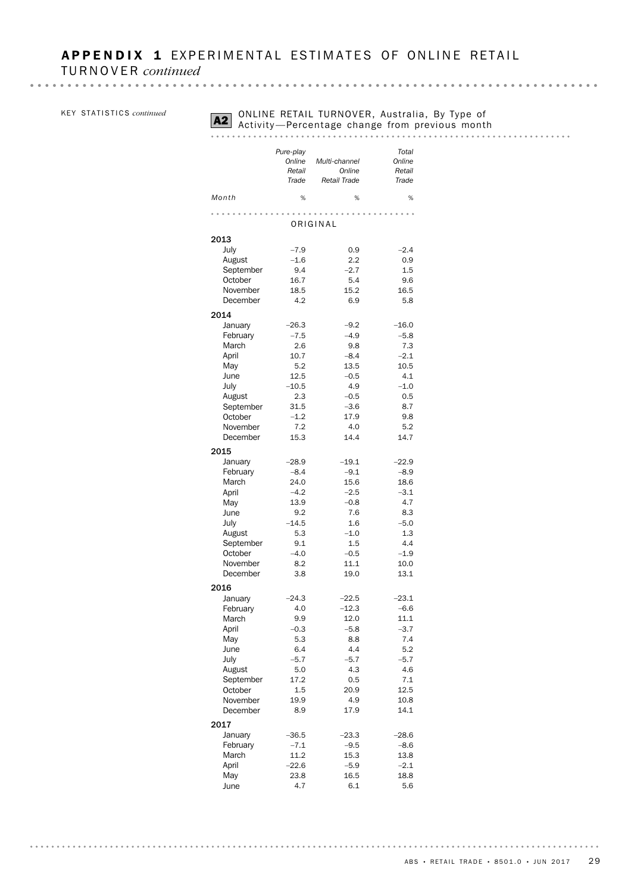KEY STATISTICS *continued* 

# **A2** ONLINE RETAIL TURNOVER, Australia, By Type of Activity—Percentage change from previous month

#### 

|                     | Pure-play<br>Online<br>Retail<br>Trade | Multi-channel<br>Online | Total<br>Online<br>Retail |
|---------------------|----------------------------------------|-------------------------|---------------------------|
| Month               | %                                      | Retail Trade<br>%       | Trade<br>%                |
|                     |                                        |                         |                           |
|                     |                                        | ORIGINAL                |                           |
| 2013                |                                        |                         |                           |
| July                | $-7.9$                                 | 0.9                     | $-2.4$                    |
| August              | $-1.6$                                 | 2.2                     | 0.9                       |
| September           | 9.4                                    | $-2.7$                  | 1.5                       |
| October             | 16.7                                   | 5.4                     | 9.6                       |
| November            | 18.5                                   | 15.2                    | 16.5                      |
| December            | 4.2                                    | 6.9                     | 5.8                       |
| 2014                |                                        |                         |                           |
| January             | $-26.3$                                | $-9.2$                  | $-16.0$                   |
| February            | $-7.5$                                 | $-4.9$                  | $-5.8$                    |
| March               | 2.6                                    | 9.8                     | 7.3                       |
| April               | 10.7                                   | $-8.4$                  | $-2.1$                    |
| May                 | 5.2                                    | 13.5                    | 10.5                      |
| June                | 12.5                                   | $-0.5$                  | 4.1                       |
| July                | $-10.5$                                | 4.9                     | $-1.0$                    |
| August              | 2.3                                    | $-0.5$                  | 0.5                       |
| September           | 31.5                                   | $-3.6$                  | 8.7                       |
| October             | $-1.2$                                 | 17.9                    | 9.8                       |
| November            | 7.2                                    | 4.0                     | 5.2                       |
| December            | 15.3                                   | 14.4                    | 14.7                      |
| 2015                |                                        |                         |                           |
| January             | $-28.9$                                | $-19.1$                 | $-22.9$                   |
| February            | $-8.4$                                 | $-9.1$                  | $-8.9$                    |
| March               | 24.0                                   | 15.6                    | 18.6                      |
| April               | $-4.2$                                 | $-2.5$                  | $-3.1$                    |
| May                 | 13.9                                   | $-0.8$                  | 4.7                       |
| June                | 9.2                                    | 7.6                     | 8.3                       |
| July                | $-14.5$<br>5.3                         | 1.6<br>$-1.0$           | $-5.0$<br>1.3             |
| August<br>September | 9.1                                    | 1.5                     | 4.4                       |
| October             | $-4.0$                                 | $-0.5$                  | $-1.9$                    |
| November            | 8.2                                    | 11.1                    | 10.0                      |
| December            | 3.8                                    | 19.0                    | 13.1                      |
|                     |                                        |                         |                           |
| 2016                |                                        |                         |                           |
| January<br>February | $-24.3$<br>4.0                         | $-22.5$<br>$-12.3$      | $-23.1$<br>$-6.6$         |
| March               | 9.9                                    | 12.0                    | 11.1                      |
| April               | $-0.3$                                 | $-5.8$                  | $-3.7$                    |
| May                 | 5.3                                    | 8.8                     | 7.4                       |
| June                | 6.4                                    | 4.4                     | 5.2                       |
| July                | $-5.7$                                 | $-5.7$                  | $-5.7$                    |
| August              | 5.0                                    | 4.3                     | 4.6                       |
| September           | 17.2                                   | 0.5                     | 7.1                       |
| October             | 1.5                                    | 20.9                    | 12.5                      |
| November            | 19.9                                   | 4.9                     | 10.8                      |
| December            | 8.9                                    | 17.9                    | 14.1                      |
| 2017                |                                        |                         |                           |
| January             | $-36.5$                                | $-23.3$                 | $-28.6$                   |
| February            | $-7.1$                                 | $-9.5$                  | $-8.6$                    |
| March               | 11.2                                   | 15.3                    | 13.8                      |
| April               | $-22.6$                                | $-5.9$                  | $-2.1$                    |
| May                 | 23.8                                   | 16.5                    | 18.8                      |
| June                | 4.7                                    | 6.1                     | 5.6                       |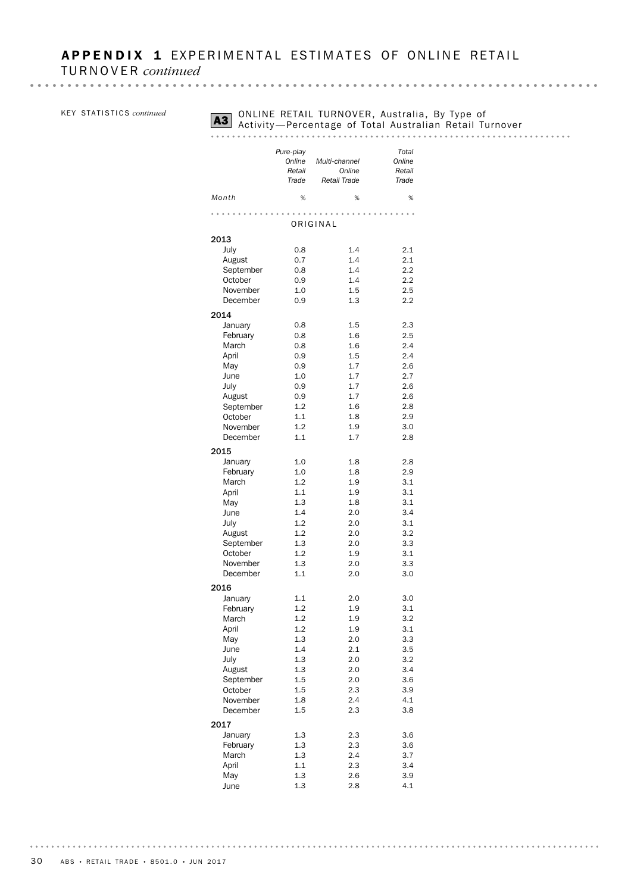KEY STATISTICS *continued* 

# **A3** ONLINE RETAIL TURNOVER, Australia, By Type of<br>Activity —Percentage of Total Australian Retail Turnover<br>A3 Activity —Percentage of Total Australian Retail Turnover

| Month                | Pure-play<br>Online<br>Retail<br>Trade<br>% | Multi-channel<br>Online<br>Retail Trade<br>% | Total<br>Online<br>Retail<br>Trade<br>% |
|----------------------|---------------------------------------------|----------------------------------------------|-----------------------------------------|
|                      |                                             |                                              |                                         |
|                      |                                             | ORIGINAL                                     |                                         |
| 2013                 |                                             |                                              |                                         |
| July                 | 0.8                                         | 1.4                                          | 2.1                                     |
| August               | 0.7                                         | 1.4                                          | 2.1                                     |
| September            | 0.8                                         | 1.4                                          | 2.2                                     |
| October              | 0.9                                         | 1.4<br>1.5                                   | 2.2<br>2.5                              |
| November<br>December | 1.0<br>0.9                                  | 1.3                                          | 2.2                                     |
|                      |                                             |                                              |                                         |
| 2014                 |                                             |                                              |                                         |
| January              | 0.8                                         | 1.5                                          | 2.3                                     |
| February<br>March    | 0.8<br>0.8                                  | 1.6<br>1.6                                   | 2.5<br>2.4                              |
| April                | 0.9                                         | 1.5                                          | 2.4                                     |
| May                  | 0.9                                         | 1.7                                          | 2.6                                     |
| June                 | 1.0                                         | 1.7                                          | 2.7                                     |
| July                 | 0.9                                         | 1.7                                          | 2.6                                     |
| August               | 0.9                                         | 1.7                                          | 2.6                                     |
| September            | 1.2                                         | 1.6                                          | 2.8                                     |
| October              | 1.1                                         | 1.8                                          | 2.9                                     |
| November             | 1.2                                         | 1.9                                          | 3.0                                     |
| December             | 1.1                                         | 1.7                                          | 2.8                                     |
| 2015                 |                                             |                                              |                                         |
| January              | 1.0                                         | 1.8                                          | 2.8                                     |
| February             | 1.0                                         | 1.8                                          | 2.9                                     |
| March                | 1.2                                         | 1.9                                          | 3.1                                     |
| April                | 1.1                                         | 1.9                                          | 3.1                                     |
| May                  | 1.3                                         | 1.8                                          | 3.1                                     |
| June                 | 1.4                                         | 2.0                                          | 3.4                                     |
| July                 | 1.2                                         | 2.0                                          | 3.1                                     |
| August               | 1.2                                         | 2.0                                          | 3.2                                     |
| September            | 1.3                                         | 2.0                                          | 3.3                                     |
| October              | 1.2                                         | 1.9                                          | 3.1                                     |
| November<br>December | 1.3<br>1.1                                  | 2.0<br>2.0                                   | 3.3<br>3.0                              |
|                      |                                             |                                              |                                         |
| 2016                 |                                             |                                              |                                         |
| January              | 1.1                                         | 2.0                                          | 3.0                                     |
| February             | 1.2<br>1.2                                  | 1.9<br>1.9                                   | 3.1                                     |
| March<br>April       | 1.2                                         | 1.9                                          | 3.2<br>3.1                              |
| May                  | 1.3                                         | 2.0                                          | 3.3                                     |
| June                 | 1.4                                         | 2.1                                          | 3.5                                     |
| July                 | 1.3                                         | 2.0                                          | 3.2                                     |
| August               | 1.3                                         | 2.0                                          | 3.4                                     |
| September            | 1.5                                         | 2.0                                          | 3.6                                     |
| October              | 1.5                                         | 2.3                                          | 3.9                                     |
| November             | 1.8                                         | 2.4                                          | 4.1                                     |
| December             | 1.5                                         | 2.3                                          | 3.8                                     |
| 2017                 |                                             |                                              |                                         |
| January              | 1.3                                         | 2.3                                          | 3.6                                     |
| February             | 1.3                                         | 2.3                                          | 3.6                                     |
| March                | 1.3                                         | 2.4                                          | 3.7                                     |
| April                | 1.1                                         | 2.3                                          | 3.4                                     |
| May                  | 1.3                                         | 2.6                                          | 3.9                                     |
| June                 | 1.3                                         | 2.8                                          | 4.1                                     |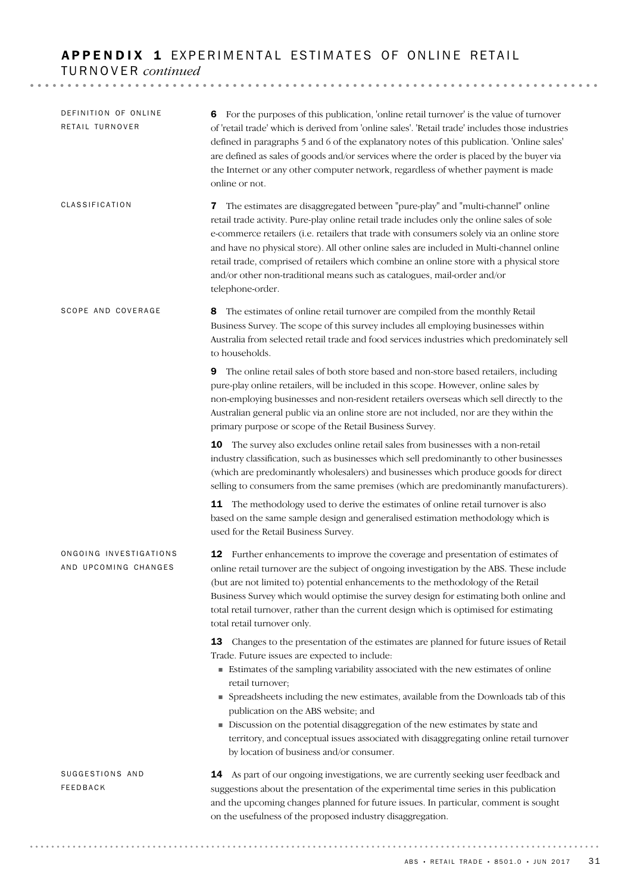### APPENDIX 1 EXPERIMENTAL ESTIMATES OF ONLINE RETAIL TURNOVER *continued*

14 As part of our ongoing investigations, we are currently seeking user feedback and suggestions about the presentation of the experimental time series in this publication and the upcoming changes planned for future issues. In particular, comment is sought on the usefulness of the proposed industry disaggregation. SUGGESTIONS AND FEEDBACK 12 Further enhancements to improve the coverage and presentation of estimates of online retail turnover are the subject of ongoing investigation by the ABS. These include (but are not limited to) potential enhancements to the methodology of the Retail Business Survey which would optimise the survey design for estimating both online and total retail turnover, rather than the current design which is optimised for estimating total retail turnover only. 13 Changes to the presentation of the estimates are planned for future issues of Retail Trade. Future issues are expected to include: ! Estimates of the sampling variability associated with the new estimates of online retail turnover; ! Spreadsheets including the new estimates, available from the Downloads tab of this publication on the ABS website; and ! Discussion on the potential disaggregation of the new estimates by state and territory, and conceptual issues associated with disaggregating online retail turnover by location of business and/or consumer. ONGOING INVESTIGATIONS AND UPCOMING CHANGES 8 The estimates of online retail turnover are compiled from the monthly Retail Business Survey. The scope of this survey includes all employing businesses within Australia from selected retail trade and food services industries which predominately sell to households. 9 The online retail sales of both store based and non-store based retailers, including pure-play online retailers, will be included in this scope. However, online sales by non-employing businesses and non-resident retailers overseas which sell directly to the Australian general public via an online store are not included, nor are they within the primary purpose or scope of the Retail Business Survey. 10 The survey also excludes online retail sales from businesses with a non-retail industry classification, such as businesses which sell predominantly to other businesses (which are predominantly wholesalers) and businesses which produce goods for direct selling to consumers from the same premises (which are predominantly manufacturers). **11** The methodology used to derive the estimates of online retail turnover is also based on the same sample design and generalised estimation methodology which is used for the Retail Business Survey. SCOPE AND COVERAGE 7 The estimates are disaggregated between "pure-play" and "multi-channel" online retail trade activity. Pure-play online retail trade includes only the online sales of sole e-commerce retailers (i.e. retailers that trade with consumers solely via an online store and have no physical store). All other online sales are included in Multi-channel online retail trade, comprised of retailers which combine an online store with a physical store and/or other non-traditional means such as catalogues, mail-order and/or telephone-order. CLASSIFICATION 6 For the purposes of this publication, 'online retail turnover' is the value of turnover of 'retail trade' which is derived from 'online sales'. 'Retail trade' includes those industries defined in paragraphs 5 and 6 of the explanatory notes of this publication. 'Online sales' are defined as sales of goods and/or services where the order is placed by the buyer via the Internet or any other computer network, regardless of whether payment is made online or not. DEFINITION OF ONLINE RETAIL TURNOVER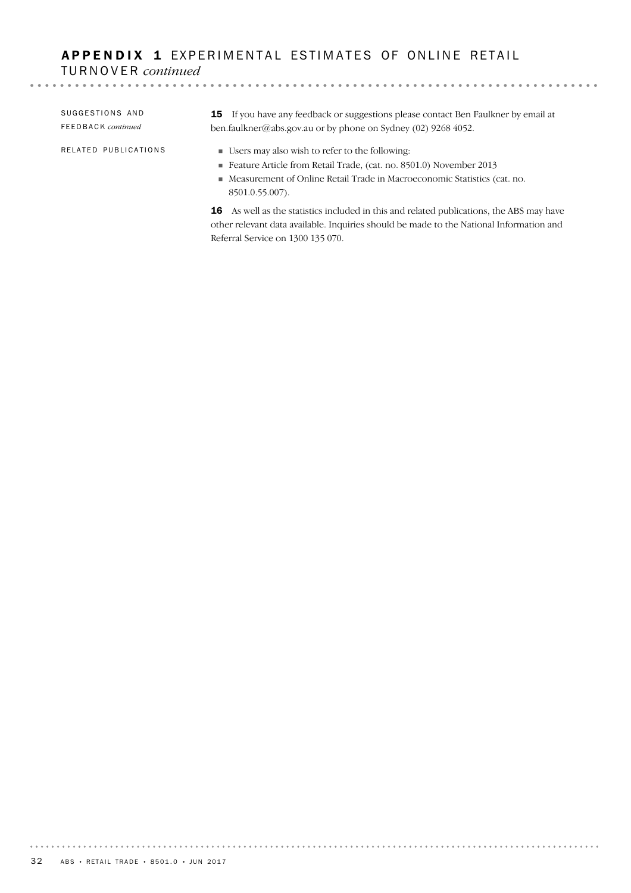# APPENDIX 1 EXPERIMENTAL ESTIMATES OF ONLINE RETAIL TURNOVER *continued*

| SUGGESTIONS AND<br>FEEDBACK continued | <b>15</b> If you have any feedback or suggestions please contact Ben Faulkner by email at<br>ben.faulkner@abs.gov.au or by phone on Sydney (02) 9268 4052. |
|---------------------------------------|------------------------------------------------------------------------------------------------------------------------------------------------------------|
| RELATED PUBLICATIONS                  | ■ Users may also wish to refer to the following:<br>Feature Article from Retail Trade, (cat. no. 8501.0) November 2013                                     |
|                                       | • Measurement of Online Retail Trade in Macroeconomic Statistics (cat. no.<br>8501.0.55.007).                                                              |
|                                       | 16 As well as the statistics included in this and related publications, the ABS may have                                                                   |

16 As well as the statistics included in this and related publications, the ABS may have other relevant data available. Inquiries should be made to the National Information and Referral Service on 1300 135 070.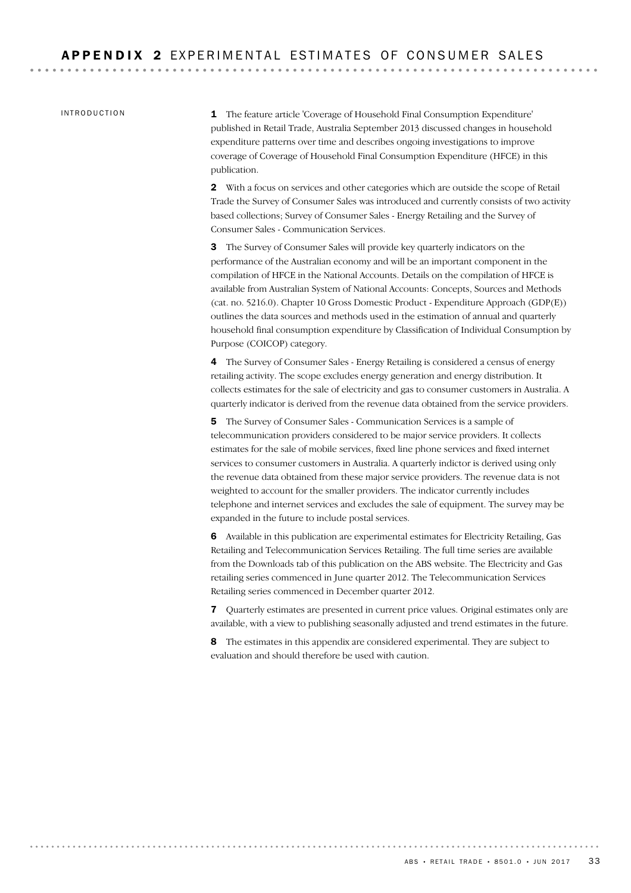INTRODUCTION

1 The feature article 'Coverage of Household Final Consumption Expenditure' published in Retail Trade, Australia September 2013 discussed changes in household expenditure patterns over time and describes ongoing investigations to improve coverage of Coverage of Household Final Consumption Expenditure (HFCE) in this publication.

2 With a focus on services and other categories which are outside the scope of Retail Trade the Survey of Consumer Sales was introduced and currently consists of two activity based collections; Survey of Consumer Sales - Energy Retailing and the Survey of Consumer Sales - Communication Services.

3 The Survey of Consumer Sales will provide key quarterly indicators on the performance of the Australian economy and will be an important component in the compilation of HFCE in the National Accounts. Details on the compilation of HFCE is available from Australian System of National Accounts: Concepts, Sources and Methods (cat. no. 5216.0). Chapter 10 Gross Domestic Product - Expenditure Approach (GDP(E)) outlines the data sources and methods used in the estimation of annual and quarterly household final consumption expenditure by Classification of Individual Consumption by Purpose (COICOP) category.

4 The Survey of Consumer Sales - Energy Retailing is considered a census of energy retailing activity. The scope excludes energy generation and energy distribution. It collects estimates for the sale of electricity and gas to consumer customers in Australia. A quarterly indicator is derived from the revenue data obtained from the service providers.

5 The Survey of Consumer Sales - Communication Services is a sample of telecommunication providers considered to be major service providers. It collects estimates for the sale of mobile services, fixed line phone services and fixed internet services to consumer customers in Australia. A quarterly indictor is derived using only the revenue data obtained from these major service providers. The revenue data is not weighted to account for the smaller providers. The indicator currently includes telephone and internet services and excludes the sale of equipment. The survey may be expanded in the future to include postal services.

6 Available in this publication are experimental estimates for Electricity Retailing, Gas Retailing and Telecommunication Services Retailing. The full time series are available from the Downloads tab of this publication on the ABS website. The Electricity and Gas retailing series commenced in June quarter 2012. The Telecommunication Services Retailing series commenced in December quarter 2012.

7 Quarterly estimates are presented in current price values. Original estimates only are available, with a view to publishing seasonally adjusted and trend estimates in the future.

8 The estimates in this appendix are considered experimental. They are subject to evaluation and should therefore be used with caution.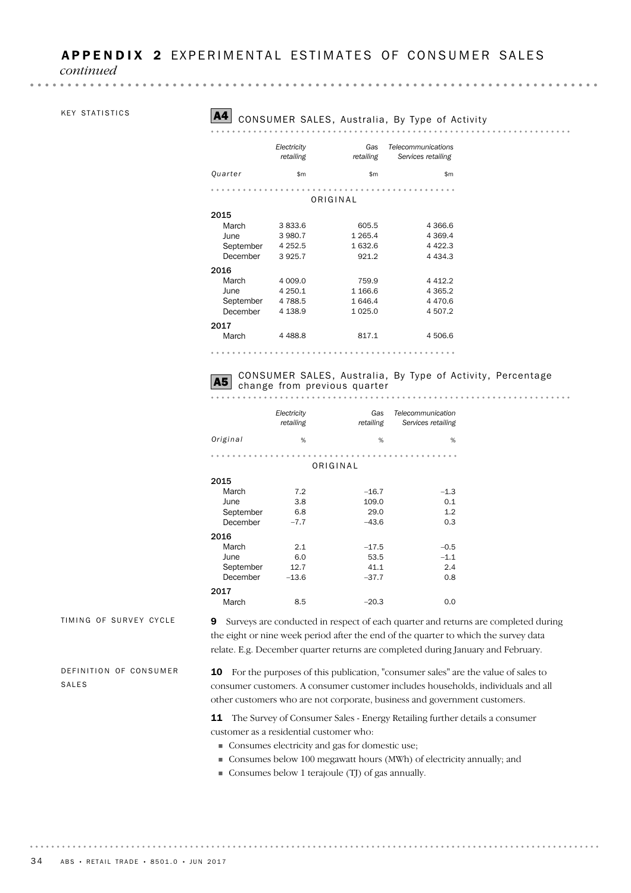*continued*

#### KEY STATISTICS

. . . . . . . . .

. . . . . . . . . .

#### A4 CONSUMER SALES, Australia, By Type of Activity

|           | Electricity<br>retailing | Gas<br>retailing | Telecommunications<br>Services retailing |
|-----------|--------------------------|------------------|------------------------------------------|
| Quarter   | \$m                      | \$m              | \$m                                      |
|           |                          |                  |                                          |
|           |                          | ORIGINAL         |                                          |
| 2015      |                          |                  |                                          |
| March     | 3833.6                   | 605.5            | 4 3 6 6.6                                |
| June      | 3 980.7                  | 1 2 6 5 . 4      | 4 3 6 9.4                                |
| September | 4 2 5 2.5                | 1632.6           | 4 4 2 2.3                                |
| December  | 3925.7                   | 921.2            | 4 4 3 4 .3                               |
| 2016      |                          |                  |                                          |
| March     | 4 009.0                  | 759.9            | 4412.2                                   |
| June      | 4 250.1                  | 1 1 66.6         | 4 3 6 5 . 2                              |
| September | 4788.5                   | 1646.4           | 4 4 7 0.6                                |
| December  | 4 1 38.9                 | 1 0 2 5 .0       | 4 507.2                                  |
| 2017      |                          |                  |                                          |
| March     | 4 4 8 8.8                | 817.1            | 4 506.6                                  |
|           |                          |                  |                                          |

# CONSUMER SALES, Australia, By Type of Activity, Percentage<br>change from previous quarter

|           | Electricity<br>retailing | Gas<br>retailing | Telecommunication<br>Services retailing |
|-----------|--------------------------|------------------|-----------------------------------------|
| Original  | %                        | %                | %                                       |
|           |                          |                  |                                         |
|           |                          | ORIGINAL         |                                         |
| 2015      |                          |                  |                                         |
| March     | 7.2                      | $-16.7$          | $-1.3$                                  |
| June      | 3.8                      | 109.0            | 0.1                                     |
| September | 6.8                      | 29.0             | 1.2                                     |
| December  | $-7.7$                   | $-43.6$          | 0.3                                     |
| 2016      |                          |                  |                                         |
| March     | 2.1                      | $-17.5$          | $-0.5$                                  |
| June      | 6.0                      | 53.5             | $-1.1$                                  |
| September | 12.7                     | 41.1             | 2.4                                     |
| December  | $-13.6$                  | $-37.7$          | 0.8                                     |
| 2017      |                          |                  |                                         |
| March     | 8.5                      | $-20.3$          | 0.0                                     |

TIMING OF SURVEY CYCLE

DEFINITION OF CONSUMER SALES

9 Surveys are conducted in respect of each quarter and returns are completed during the eight or nine week period after the end of the quarter to which the survey data relate. E.g. December quarter returns are completed during January and February.

10 For the purposes of this publication, "consumer sales" are the value of sales to consumer customers. A consumer customer includes households, individuals and all other customers who are not corporate, business and government customers.

11 The Survey of Consumer Sales - Energy Retailing further details a consumer customer as a residential customer who:

- ! Consumes electricity and gas for domestic use;
- ! Consumes below 100 megawatt hours (MWh) of electricity annually; and

. . . . . . . . . . . . . .

! Consumes below 1 terajoule (TJ) of gas annually.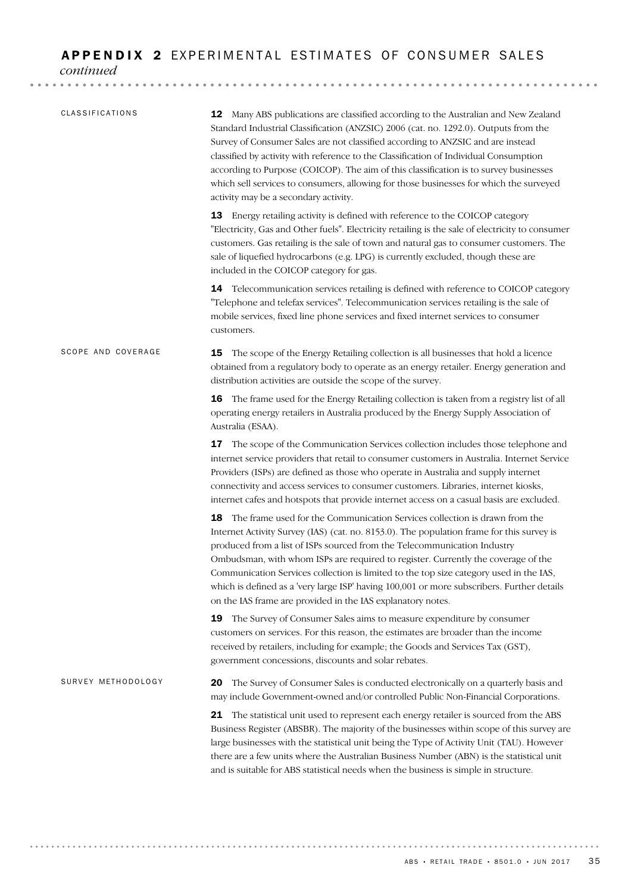#### APPENDIX 2 EXPERIMENTAL ESTIMATES OF CONSUMER SALES

*continued*

| CLASSIFICATIONS    | 12 Many ABS publications are classified according to the Australian and New Zealand<br>Standard Industrial Classification (ANZSIC) 2006 (cat. no. 1292.0). Outputs from the<br>Survey of Consumer Sales are not classified according to ANZSIC and are instead<br>classified by activity with reference to the Classification of Individual Consumption<br>according to Purpose (COICOP). The aim of this classification is to survey businesses<br>which sell services to consumers, allowing for those businesses for which the surveyed<br>activity may be a secondary activity.                    |
|--------------------|--------------------------------------------------------------------------------------------------------------------------------------------------------------------------------------------------------------------------------------------------------------------------------------------------------------------------------------------------------------------------------------------------------------------------------------------------------------------------------------------------------------------------------------------------------------------------------------------------------|
|                    | 13 Energy retailing activity is defined with reference to the COICOP category<br>"Electricity, Gas and Other fuels". Electricity retailing is the sale of electricity to consumer<br>customers. Gas retailing is the sale of town and natural gas to consumer customers. The<br>sale of liquefied hydrocarbons (e.g. LPG) is currently excluded, though these are<br>included in the COICOP category for gas.                                                                                                                                                                                          |
|                    | 14 Telecommunication services retailing is defined with reference to COICOP category<br>"Telephone and telefax services". Telecommunication services retailing is the sale of<br>mobile services, fixed line phone services and fixed internet services to consumer<br>customers.                                                                                                                                                                                                                                                                                                                      |
| SCOPE AND COVERAGE | The scope of the Energy Retailing collection is all businesses that hold a licence<br>15<br>obtained from a regulatory body to operate as an energy retailer. Energy generation and<br>distribution activities are outside the scope of the survey.                                                                                                                                                                                                                                                                                                                                                    |
|                    | 16 The frame used for the Energy Retailing collection is taken from a registry list of all<br>operating energy retailers in Australia produced by the Energy Supply Association of<br>Australia (ESAA).                                                                                                                                                                                                                                                                                                                                                                                                |
|                    | The scope of the Communication Services collection includes those telephone and<br>17<br>internet service providers that retail to consumer customers in Australia. Internet Service<br>Providers (ISPs) are defined as those who operate in Australia and supply internet<br>connectivity and access services to consumer customers. Libraries, internet kiosks,<br>internet cafes and hotspots that provide internet access on a casual basis are excluded.                                                                                                                                          |
|                    | The frame used for the Communication Services collection is drawn from the<br>18.<br>Internet Activity Survey (IAS) (cat. no. 8153.0). The population frame for this survey is<br>produced from a list of ISPs sourced from the Telecommunication Industry<br>Ombudsman, with whom ISPs are required to register. Currently the coverage of the<br>Communication Services collection is limited to the top size category used in the IAS.<br>which is defined as a 'very large ISP' having 100,001 or more subscribers. Further details<br>on the IAS frame are provided in the IAS explanatory notes. |
|                    | 19<br>The Survey of Consumer Sales aims to measure expenditure by consumer<br>customers on services. For this reason, the estimates are broader than the income<br>received by retailers, including for example; the Goods and Services Tax (GST),<br>government concessions, discounts and solar rebates.                                                                                                                                                                                                                                                                                             |
| SURVEY METHODOLOGY | The Survey of Consumer Sales is conducted electronically on a quarterly basis and<br>20<br>may include Government-owned and/or controlled Public Non-Financial Corporations.                                                                                                                                                                                                                                                                                                                                                                                                                           |
|                    | The statistical unit used to represent each energy retailer is sourced from the ABS<br>21<br>Business Register (ABSBR). The majority of the businesses within scope of this survey are<br>large businesses with the statistical unit being the Type of Activity Unit (TAU). However<br>there are a few units where the Australian Business Number (ABN) is the statistical unit<br>and is suitable for ABS statistical needs when the business is simple in structure.                                                                                                                                 |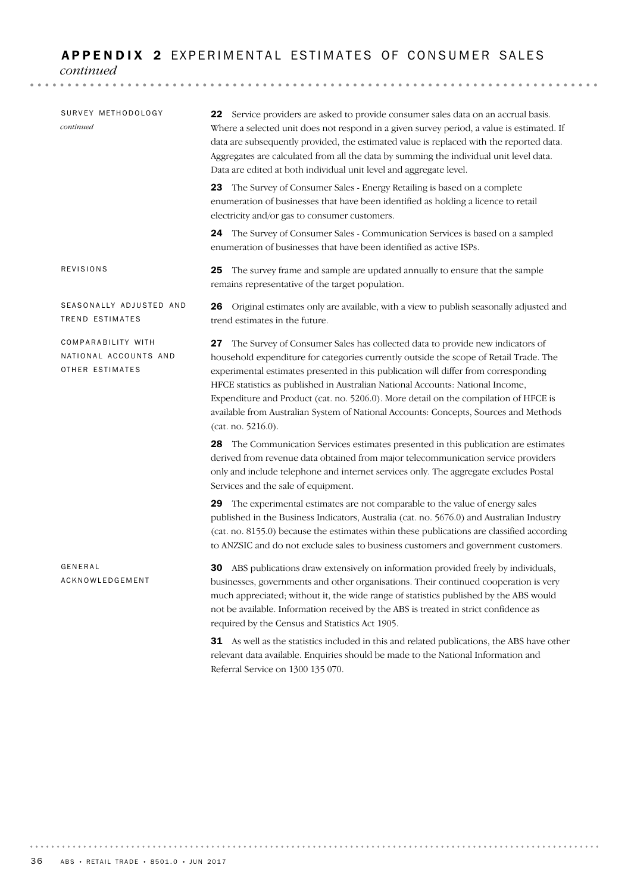### APPENDIX 2 EXPERIMENTAL ESTIMATES OF CONSUMER SALES

*continued*

| SURVEY METHODOLOGY<br>continued                                | 22 Service providers are asked to provide consumer sales data on an accrual basis.<br>Where a selected unit does not respond in a given survey period, a value is estimated. If<br>data are subsequently provided, the estimated value is replaced with the reported data.<br>Aggregates are calculated from all the data by summing the individual unit level data.<br>Data are edited at both individual unit level and aggregate level.                                                                                                              |
|----------------------------------------------------------------|---------------------------------------------------------------------------------------------------------------------------------------------------------------------------------------------------------------------------------------------------------------------------------------------------------------------------------------------------------------------------------------------------------------------------------------------------------------------------------------------------------------------------------------------------------|
|                                                                | 23 The Survey of Consumer Sales - Energy Retailing is based on a complete<br>enumeration of businesses that have been identified as holding a licence to retail<br>electricity and/or gas to consumer customers.                                                                                                                                                                                                                                                                                                                                        |
|                                                                | <b>24</b> The Survey of Consumer Sales - Communication Services is based on a sampled<br>enumeration of businesses that have been identified as active ISPs.                                                                                                                                                                                                                                                                                                                                                                                            |
| REVISIONS                                                      | The survey frame and sample are updated annually to ensure that the sample<br>25<br>remains representative of the target population.                                                                                                                                                                                                                                                                                                                                                                                                                    |
| SEASONALLY ADJUSTED AND<br>TREND ESTIMATES                     | <b>26</b> Original estimates only are available, with a view to publish seasonally adjusted and<br>trend estimates in the future.                                                                                                                                                                                                                                                                                                                                                                                                                       |
| COMPARABILITY WITH<br>NATIONAL ACCOUNTS AND<br>OTHER ESTIMATES | 27 The Survey of Consumer Sales has collected data to provide new indicators of<br>household expenditure for categories currently outside the scope of Retail Trade. The<br>experimental estimates presented in this publication will differ from corresponding<br>HFCE statistics as published in Australian National Accounts: National Income,<br>Expenditure and Product (cat. no. 5206.0). More detail on the compilation of HFCE is<br>available from Australian System of National Accounts: Concepts, Sources and Methods<br>(cat. no. 5216.0). |
|                                                                | 28 The Communication Services estimates presented in this publication are estimates<br>derived from revenue data obtained from major telecommunication service providers<br>only and include telephone and internet services only. The aggregate excludes Postal<br>Services and the sale of equipment.                                                                                                                                                                                                                                                 |
|                                                                | 29 The experimental estimates are not comparable to the value of energy sales<br>published in the Business Indicators, Australia (cat. no. 5676.0) and Australian Industry<br>(cat. no. 8155.0) because the estimates within these publications are classified according<br>to ANZSIC and do not exclude sales to business customers and government customers.                                                                                                                                                                                          |
| GENERAL<br>ACKNOWLEDGEMENT                                     | 30 ABS publications draw extensively on information provided freely by individuals,<br>businesses, governments and other organisations. Their continued cooperation is very<br>much appreciated; without it, the wide range of statistics published by the ABS would<br>not be available. Information received by the ABS is treated in strict confidence as<br>required by the Census and Statistics Act 1905.                                                                                                                                         |
|                                                                | <b>31</b> As well as the statistics included in this and related publications, the ARS have other                                                                                                                                                                                                                                                                                                                                                                                                                                                       |

31 As well as the statistics included in this and related publications, the ABS have other relevant data available. Enquiries should be made to the National Information and Referral Service on 1300 135 070.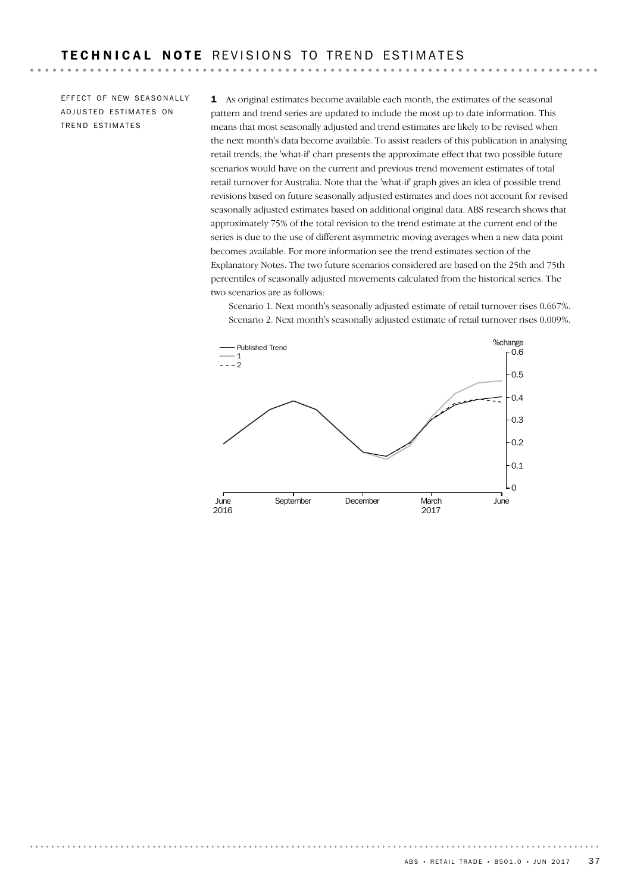EFFECT OF NEW SEASONALLY ADJUSTED ESTIMATES ON TREND ESTIMATES

. . . . . . . . . .

1 As original estimates become available each month, the estimates of the seasonal pattern and trend series are updated to include the most up to date information. This means that most seasonally adjusted and trend estimates are likely to be revised when the next month's data become available. To assist readers of this publication in analysing retail trends, the 'what-if' chart presents the approximate effect that two possible future scenarios would have on the current and previous trend movement estimates of total retail turnover for Australia. Note that the 'what-if' graph gives an idea of possible trend revisions based on future seasonally adjusted estimates and does not account for revised seasonally adjusted estimates based on additional original data. ABS research shows that approximately 75% of the total revision to the trend estimate at the current end of the series is due to the use of different asymmetric moving averages when a new data point becomes available. For more information see the trend estimates section of the Explanatory Notes. The two future scenarios considered are based on the 25th and 75th percentiles of seasonally adjusted movements calculated from the historical series. The two scenarios are as follows:

Scenario 1. Next month's seasonally adjusted estimate of retail turnover rises 0.667%. Scenario 2. Next month's seasonally adjusted estimate of retail turnover rises 0.009%.